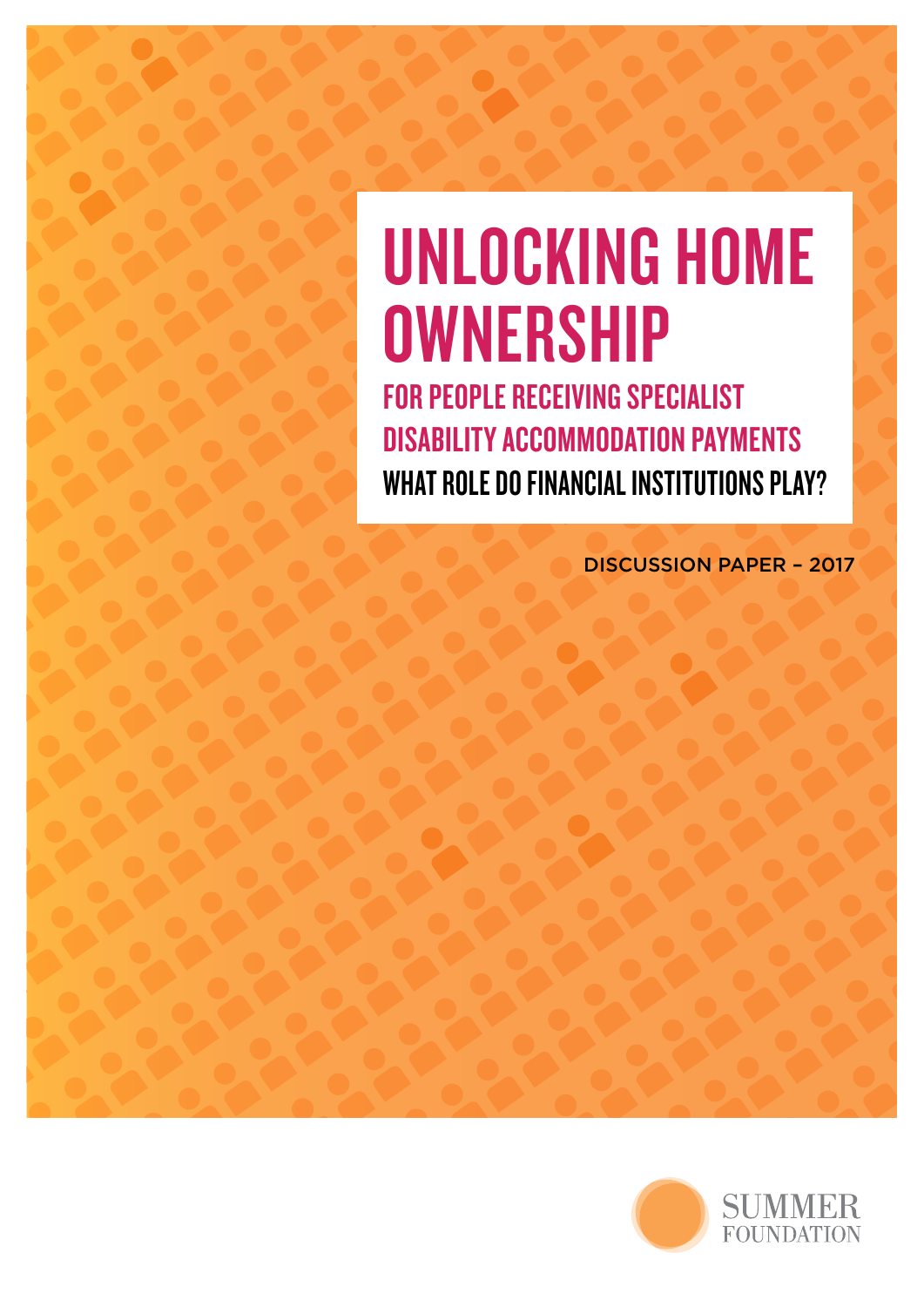# UNLOCKING HOME **OWNERSHIP J VV IN E K S FI I I P'**<br>OR PEOPLE RECEIVING SPECIAL

FOR PEOPLE RECEIVING SPECIALIST DISABILITY ACCOMMODATION PAYMENTS DISABILITY ACCOMMODATION PAYMENTS<br>What role do financial institutions play?

RE-THINKING 24 HOUR SUPPORT

DISCUSSION PAPER – 2017

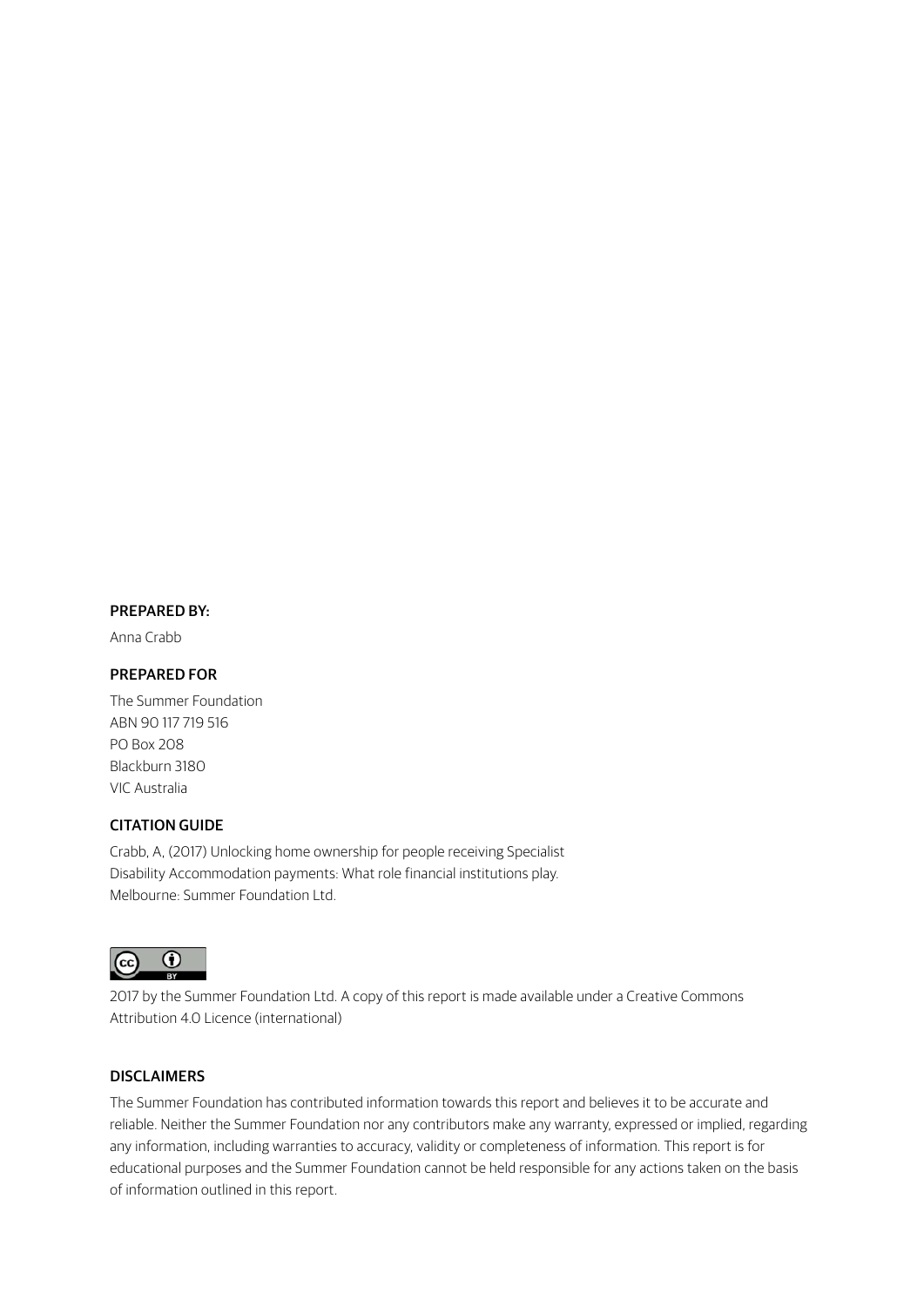#### PREPARED BY:

Anna Crabb

#### PREPARED FOR

The Summer Foundation ABN 90 117 719 516 PO Box 208 Blackburn 3180 VIC Australia

#### CITATION GUIDE

Crabb, A, (2017) Unlocking home ownership for people receiving Specialist Disability Accommodation payments: What role financial institutions play. Melbourne: Summer Foundation Ltd.



2017 by the Summer Foundation Ltd. A copy of this report is made available under a Creative Commons Attribution 4.0 Licence (international)

#### DISCLAIMERS

The Summer Foundation has contributed information towards this report and believes it to be accurate and reliable. Neither the Summer Foundation nor any contributors make any warranty, expressed or implied, regarding any information, including warranties to accuracy, validity or completeness of information. This report is for educational purposes and the Summer Foundation cannot be held responsible for any actions taken on the basis of information outlined in this report.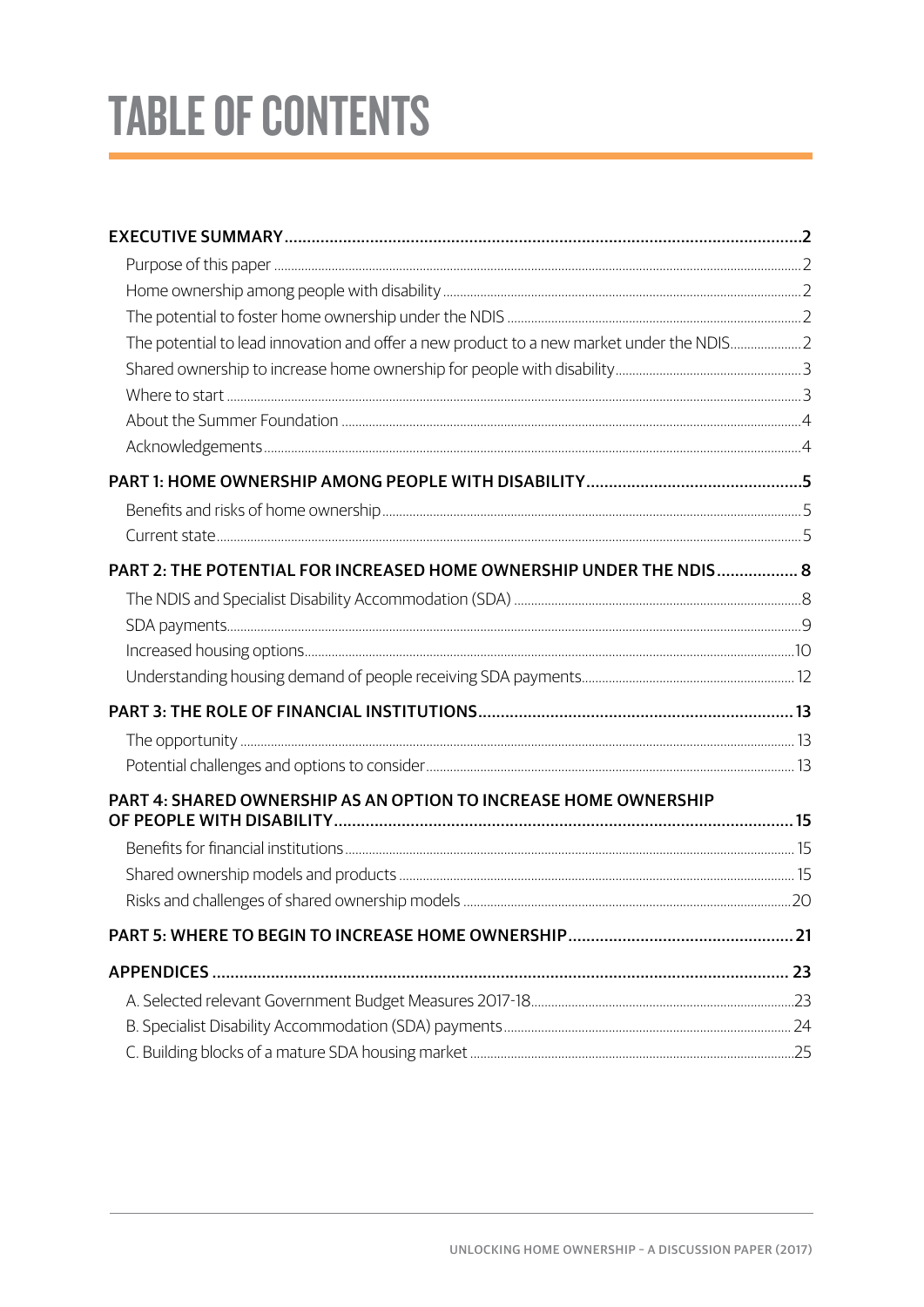# **TABLE OF CONTENTS**

| The potential to lead innovation and offer a new product to a new market under the NDIS2 |  |
|------------------------------------------------------------------------------------------|--|
|                                                                                          |  |
|                                                                                          |  |
|                                                                                          |  |
|                                                                                          |  |
|                                                                                          |  |
|                                                                                          |  |
|                                                                                          |  |
| PART 2: THE POTENTIAL FOR INCREASED HOME OWNERSHIP UNDER THE NDIS 8                      |  |
|                                                                                          |  |
|                                                                                          |  |
|                                                                                          |  |
|                                                                                          |  |
|                                                                                          |  |
|                                                                                          |  |
|                                                                                          |  |
| PART 4: SHARED OWNERSHIP AS AN OPTION TO INCREASE HOME OWNERSHIP                         |  |
|                                                                                          |  |
|                                                                                          |  |
|                                                                                          |  |
|                                                                                          |  |
|                                                                                          |  |
|                                                                                          |  |
|                                                                                          |  |
|                                                                                          |  |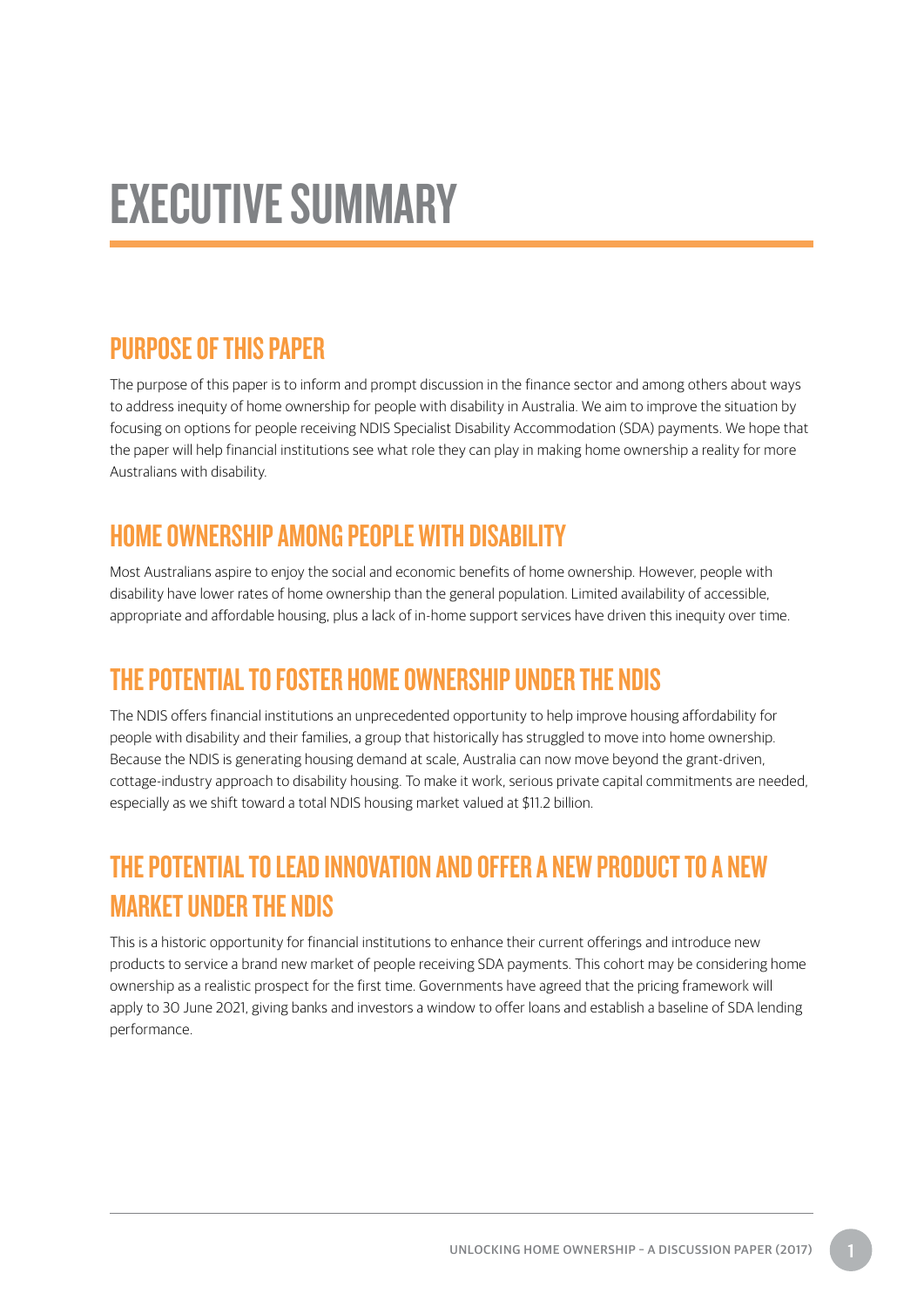## <span id="page-4-0"></span>EXECUTIVE SUMMARY

### PURPOSE OF THIS PAPER

The purpose of this paper is to inform and prompt discussion in the finance sector and among others about ways to address inequity of home ownership for people with disability in Australia. We aim to improve the situation by focusing on options for people receiving NDIS Specialist Disability Accommodation (SDA) payments. We hope that the paper will help financial institutions see what role they can play in making home ownership a reality for more Australians with disability.

## HOME OWNERSHIP AMONG PEOPLE WITH DISABILITY

Most Australians aspire to enjoy the social and economic benefits of home ownership. However, people with disability have lower rates of home ownership than the general population. Limited availability of accessible, appropriate and affordable housing, plus a lack of in-home support services have driven this inequity over time.

## THE POTENTIAL TO FOSTER HOME OWNERSHIP UNDER THE NDIS

The NDIS offers financial institutions an unprecedented opportunity to help improve housing affordability for people with disability and their families, a group that historically has struggled to move into home ownership. Because the NDIS is generating housing demand at scale, Australia can now move beyond the grant-driven, cottage-industry approach to disability housing. To make it work, serious private capital commitments are needed, especially as we shift toward a total NDIS housing market valued at \$11.2 billion.

## THE POTENTIAL TO LEAD INNOVATION AND OFFER A NEW PRODUCT TO A NEW MARKET UNDER THE NDIS

This is a historic opportunity for financial institutions to enhance their current offerings and introduce new products to service a brand new market of people receiving SDA payments. This cohort may be considering home ownership as a realistic prospect for the first time. Governments have agreed that the pricing framework will apply to 30 June 2021, giving banks and investors a window to offer loans and establish a baseline of SDA lending performance.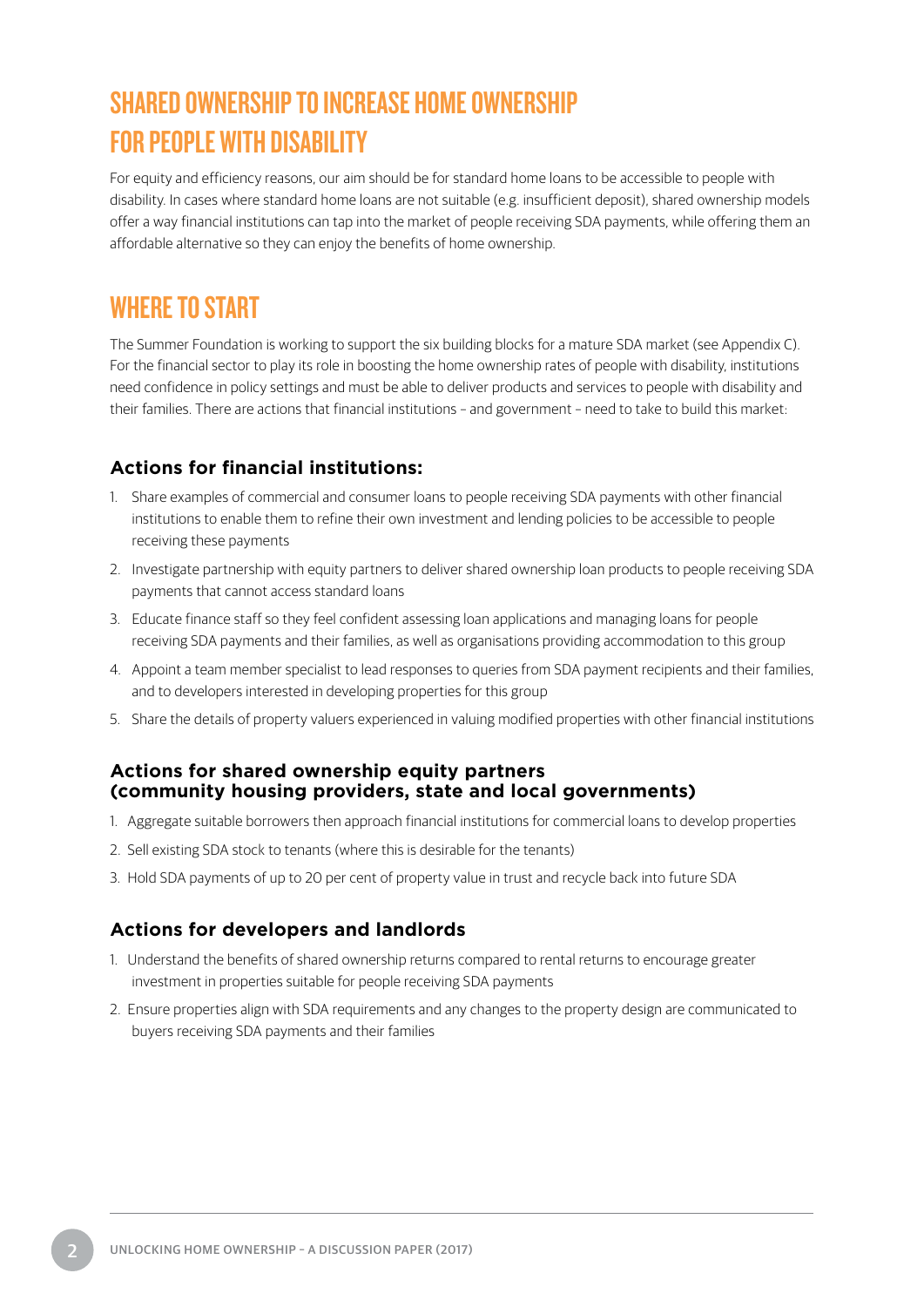## <span id="page-5-0"></span>SHARED OWNERSHIP TO INCREASE HOME OWNERSHIP FOR PEOPLE WITH DISABILITY

For equity and efficiency reasons, our aim should be for standard home loans to be accessible to people with disability. In cases where standard home loans are not suitable (e.g. insufficient deposit), shared ownership models offer a way financial institutions can tap into the market of people receiving SDA payments, while offering them an affordable alternative so they can enjoy the benefits of home ownership.

### WHERE TO START

The Summer Foundation is working to support the six building blocks for a mature SDA market (see Appendix C). For the financial sector to play its role in boosting the home ownership rates of people with disability, institutions need confidence in policy settings and must be able to deliver products and services to people with disability and their families. There are actions that financial institutions – and government – need to take to build this market:

#### **Actions for financial institutions:**

- 1. Share examples of commercial and consumer loans to people receiving SDA payments with other financial institutions to enable them to refine their own investment and lending policies to be accessible to people receiving these payments
- 2. Investigate partnership with equity partners to deliver shared ownership loan products to people receiving SDA payments that cannot access standard loans
- 3. Educate finance staff so they feel confident assessing loan applications and managing loans for people receiving SDA payments and their families, as well as organisations providing accommodation to this group
- 4. Appoint a team member specialist to lead responses to queries from SDA payment recipients and their families, and to developers interested in developing properties for this group
- 5. Share the details of property valuers experienced in valuing modified properties with other financial institutions

#### **Actions for shared ownership equity partners (community housing providers, state and local governments)**

- 1. Aggregate suitable borrowers then approach financial institutions for commercial loans to develop properties
- 2. Sell existing SDA stock to tenants (where this is desirable for the tenants)
- 3. Hold SDA payments of up to 20 per cent of property value in trust and recycle back into future SDA

#### **Actions for developers and landlords**

- 1. Understand the benefits of shared ownership returns compared to rental returns to encourage greater investment in properties suitable for people receiving SDA payments
- 2. Ensure properties align with SDA requirements and any changes to the property design are communicated to buyers receiving SDA payments and their families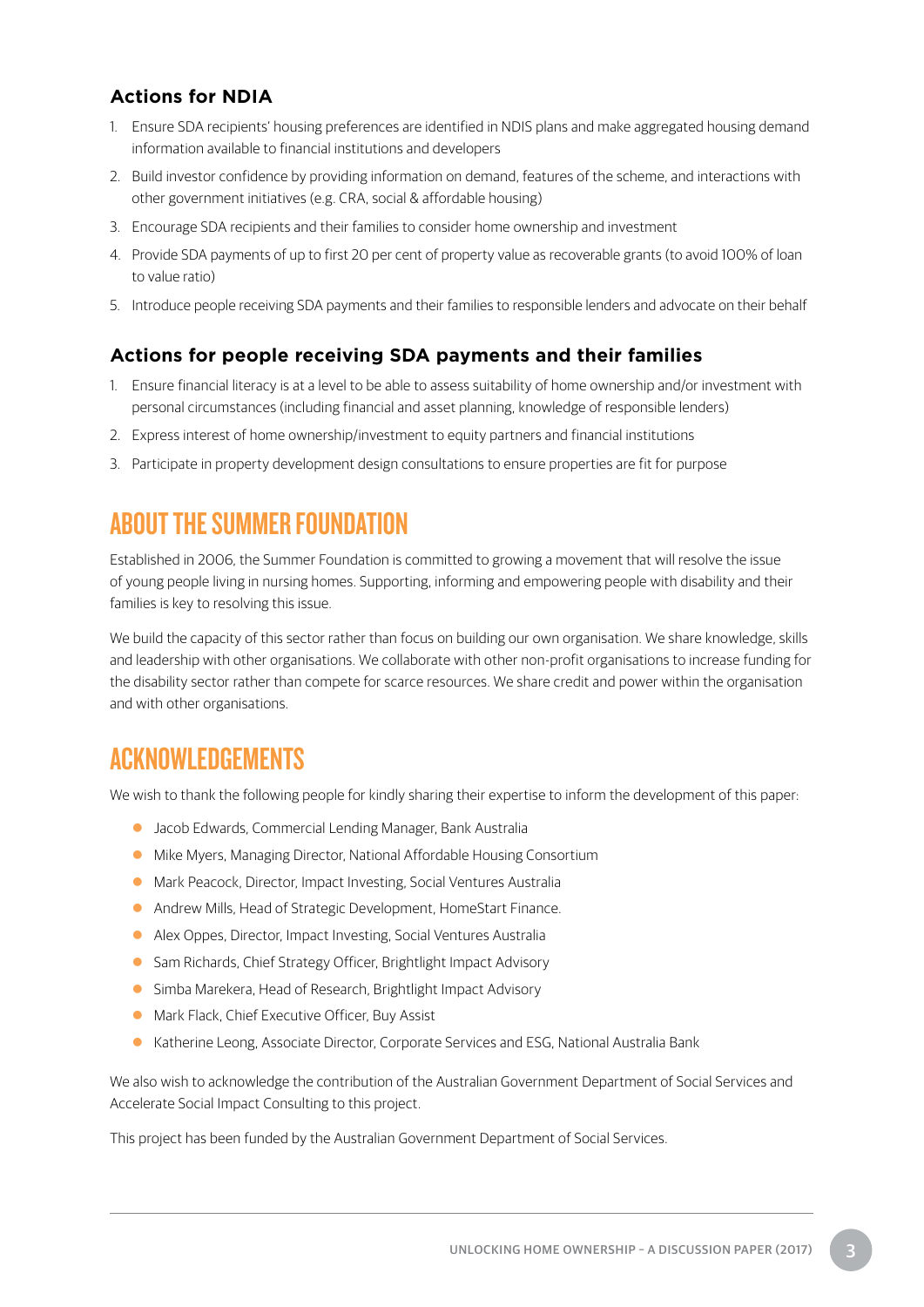#### <span id="page-6-0"></span>**Actions for NDIA**

- 1. Ensure SDA recipients' housing preferences are identified in NDIS plans and make aggregated housing demand information available to financial institutions and developers
- 2. Build investor confidence by providing information on demand, features of the scheme, and interactions with other government initiatives (e.g. CRA, social & affordable housing)
- 3. Encourage SDA recipients and their families to consider home ownership and investment
- 4. Provide SDA payments of up to first 20 per cent of property value as recoverable grants (to avoid 100% of loan to value ratio)
- 5. Introduce people receiving SDA payments and their families to responsible lenders and advocate on their behalf

#### **Actions for people receiving SDA payments and their families**

- 1. Ensure financial literacy is at a level to be able to assess suitability of home ownership and/or investment with personal circumstances (including financial and asset planning, knowledge of responsible lenders)
- 2. Express interest of home ownership/investment to equity partners and financial institutions
- 3. Participate in property development design consultations to ensure properties are fit for purpose

## ABOUT THE SUMMER FOUNDATION

Established in 2006, the Summer Foundation is committed to growing a movement that will resolve the issue of young people living in nursing homes. Supporting, informing and empowering people with disability and their families is key to resolving this issue.

We build the capacity of this sector rather than focus on building our own organisation. We share knowledge, skills and leadership with other organisations. We collaborate with other non-profit organisations to increase funding for the disability sector rather than compete for scarce resources. We share credit and power within the organisation and with other organisations.

## ACKNOWLEDGEMENTS

We wish to thank the following people for kindly sharing their expertise to inform the development of this paper:

- **Jacob Edwards, Commercial Lending Manager, Bank Australia**
- **Mike Myers, Managing Director, National Affordable Housing Consortium**
- **Mark Peacock, Director, Impact Investing, Social Ventures Australia**
- **Andrew Mills, Head of Strategic Development, HomeStart Finance.**
- Alex Oppes, Director, Impact Investing, Social Ventures Australia
- Sam Richards, Chief Strategy Officer, Brightlight Impact Advisory
- **Simba Marekera, Head of Research, Brightlight Impact Advisory**
- Mark Flack, Chief Executive Officer, Buy Assist
- Katherine Leong, Associate Director, Corporate Services and ESG, National Australia Bank

We also wish to acknowledge the contribution of the Australian Government Department of Social Services and Accelerate Social Impact Consulting to this project.

This project has been funded by the Australian Government Department of Social Services.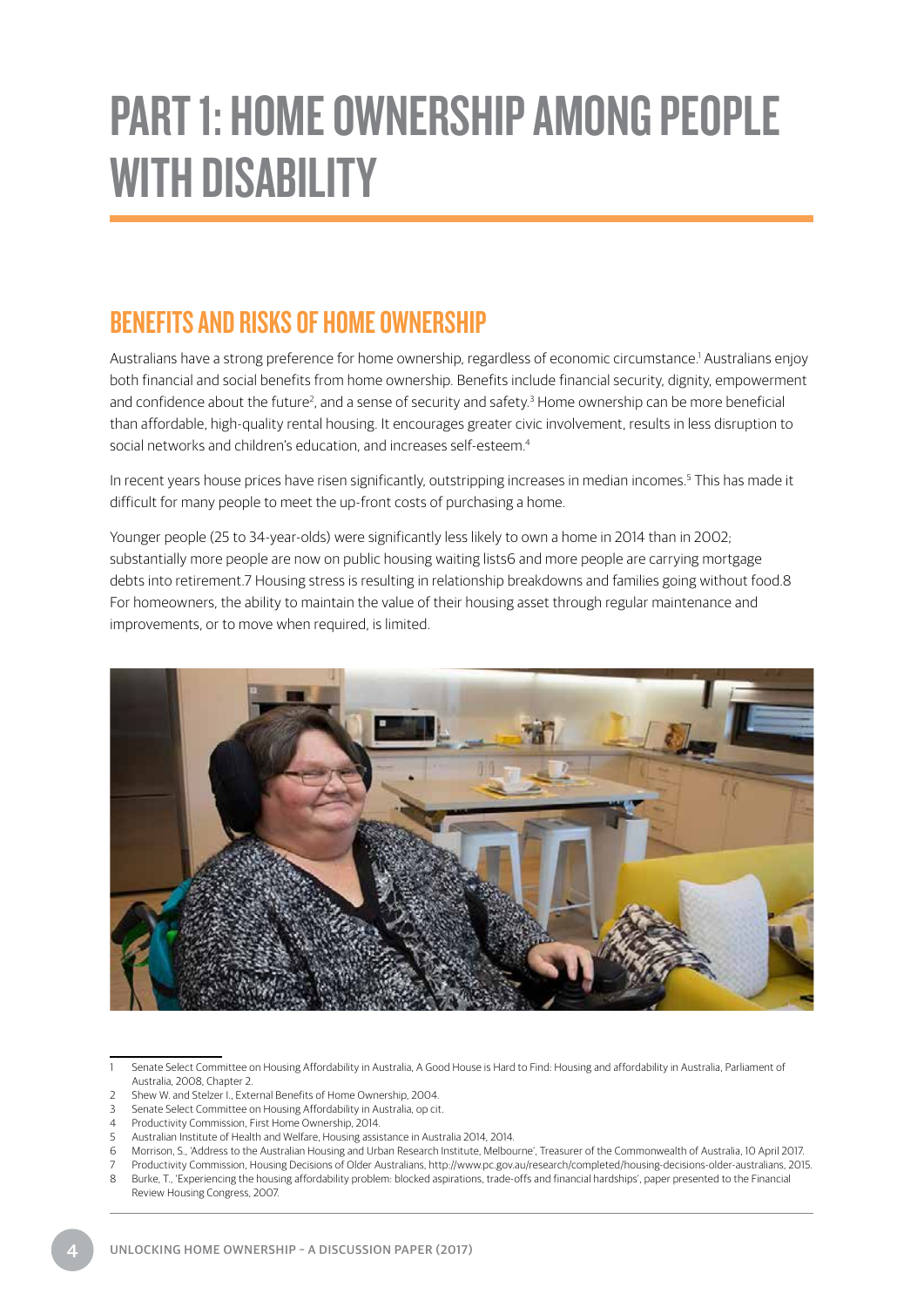## PART 1: HOME OWNERSHIP AMONG PEOPLE WITH DISABILITY

## BENEFITS AND RISKS OF HOME OWNERSHIP

Australians have a strong preference for home ownership, regardless of economic circumstance.<sup>1</sup> Australians enjoy both financial and social benefits from home ownership. Benefits include financial security, dignity, empowerment and confidence about the future<sup>2</sup>, and a sense of security and safety.<sup>3</sup> Home ownership can be more beneficial than affordable, high-quality rental housing. It encourages greater civic involvement, results in less disruption to social networks and children's education, and increases self-esteem.<sup>4</sup>

In recent years house prices have risen significantly, outstripping increases in median incomes.<sup>5</sup> This has made it difficult for many people to meet the up-front costs of purchasing a home.

Younger people (25 to 34-year-olds) were significantly less likely to own a home in 2014 than in 2002; substantially more people are now on public housing waiting lists6 and more people are carrying mortgage debts into retirement.7 Housing stress is resulting in relationship breakdowns and families going without food.8 For homeowners, the ability to maintain the value of their housing asset through regular maintenance and improvements, or to move when required, is limited.



1 Senate Select Committee on Housing Affordability in Australia, A Good House is Hard to Find: Housing and affordability in Australia, Parliament of Australia, 2008, Chapter 2.

- 2 Shew W. and Stelzer I., External Benefits of Home Ownership, 2004.
- 3 Senate Select Committee on Housing Affordability in Australia, op cit.
- 4 Productivity Commission, First Home Ownership, 2014.
- 5 Australian Institute of Health and Welfare, Housing assistance in Australia 2014, 2014.
- 6 Morrison, S., 'Address to the Australian Housing and Urban Research Institute, Melbourne', Treasurer of the Commonwealth of Australia, 10 April 2017.
- 7 Productivity Commission, Housing Decisions of Older Australians, http://www.pc.gov.au/research/completed/housing-decisions-older-australians, 2015.
- 8 Burke, T., 'Experiencing the housing affordability problem: blocked aspirations, trade-offs and financial hardships', paper presented to the Financial Review Housing Congress, 2007.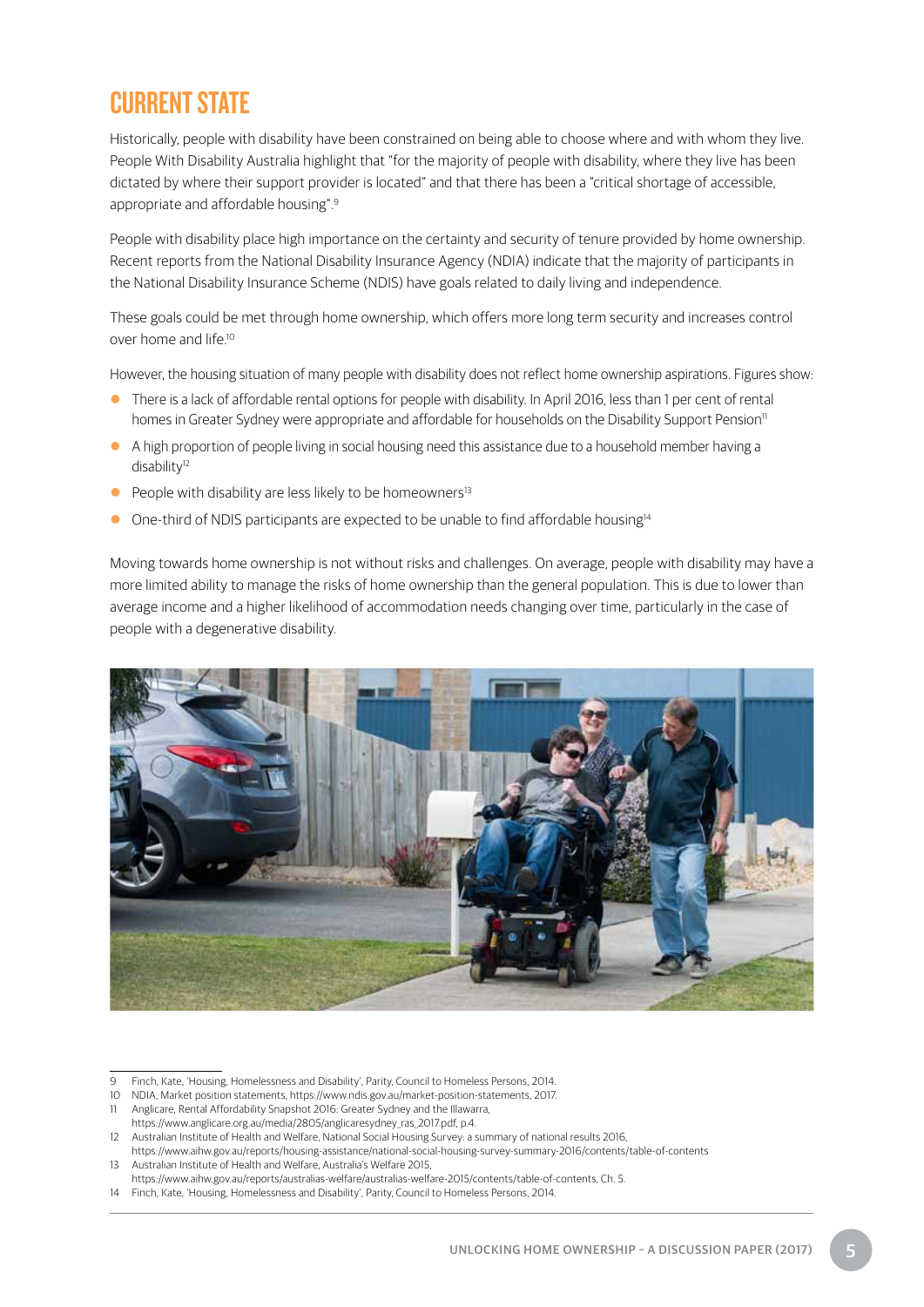## CURRENT STATE

Historically, people with disability have been constrained on being able to choose where and with whom they live. People With Disability Australia highlight that "for the majority of people with disability, where they live has been dictated by where their support provider is located" and that there has been a "critical shortage of accessible, appropriate and affordable housing".9

People with disability place high importance on the certainty and security of tenure provided by home ownership. Recent reports from the National Disability Insurance Agency (NDIA) indicate that the majority of participants in the National Disability Insurance Scheme (NDIS) have goals related to daily living and independence.

These goals could be met through home ownership, which offers more long term security and increases control over home and life<sup>10</sup>

However, the housing situation of many people with disability does not reflect home ownership aspirations. Figures show:

- There is a lack of affordable rental options for people with disability. In April 2016, less than 1 per cent of rental homes in Greater Sydney were appropriate and affordable for households on the Disability Support Pension<sup>11</sup>
- A high proportion of people living in social housing need this assistance due to a household member having a disability<sup>12</sup>
- $\bullet$  People with disability are less likely to be homeowners<sup>13</sup>
- One-third of NDIS participants are expected to be unable to find affordable housing<sup>14</sup>

Moving towards home ownership is not without risks and challenges. On average, people with disability may have a more limited ability to manage the risks of home ownership than the general population. This is due to lower than average income and a higher likelihood of accommodation needs changing over time, particularly in the case of people with a degenerative disability.



<sup>9</sup> Finch, Kate, 'Housing, Homelessness and Disability', Parity, Council to Homeless Persons, 2014.

- 10 NDIA, Market position statements, https://www.ndis.gov.au/market-position-statements, 2017.
- 11 Anglicare, Rental Affordability Snapshot 2016: Greater Sydney and the Illawarra,
- https://www.anglicare.org.au/media/2805/anglicaresydney\_ras\_2017.pdf, p.4.

- https://www.aihw.gov.au/reports/australias-welfare/australias-welfare-2015/contents/table-of-contents, Ch. 5.
- 14 Finch, Kate, 'Housing, Homelessness and Disability', Parity, Council to Homeless Persons, 2014.

<sup>12</sup> Australian Institute of Health and Welfare, National Social Housing Survey: a summary of national results 2016, https://www.aihw.gov.au/reports/housing-assistance/national-social-housing-survey-summary-2016/contents/table-of-contents 13 Australian Institute of Health and Welfare, Australia's Welfare 2015,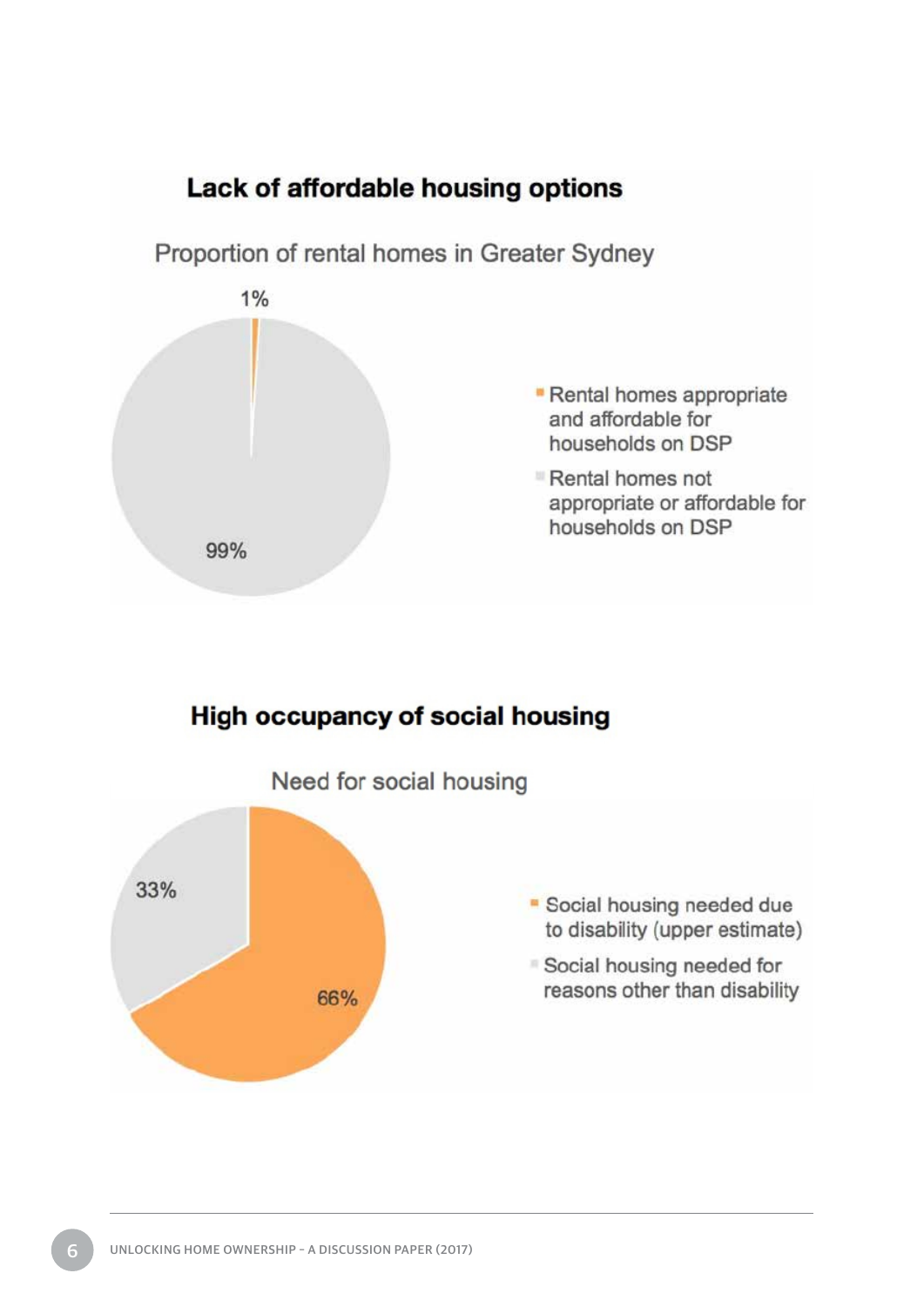



## **High occupancy of social housing**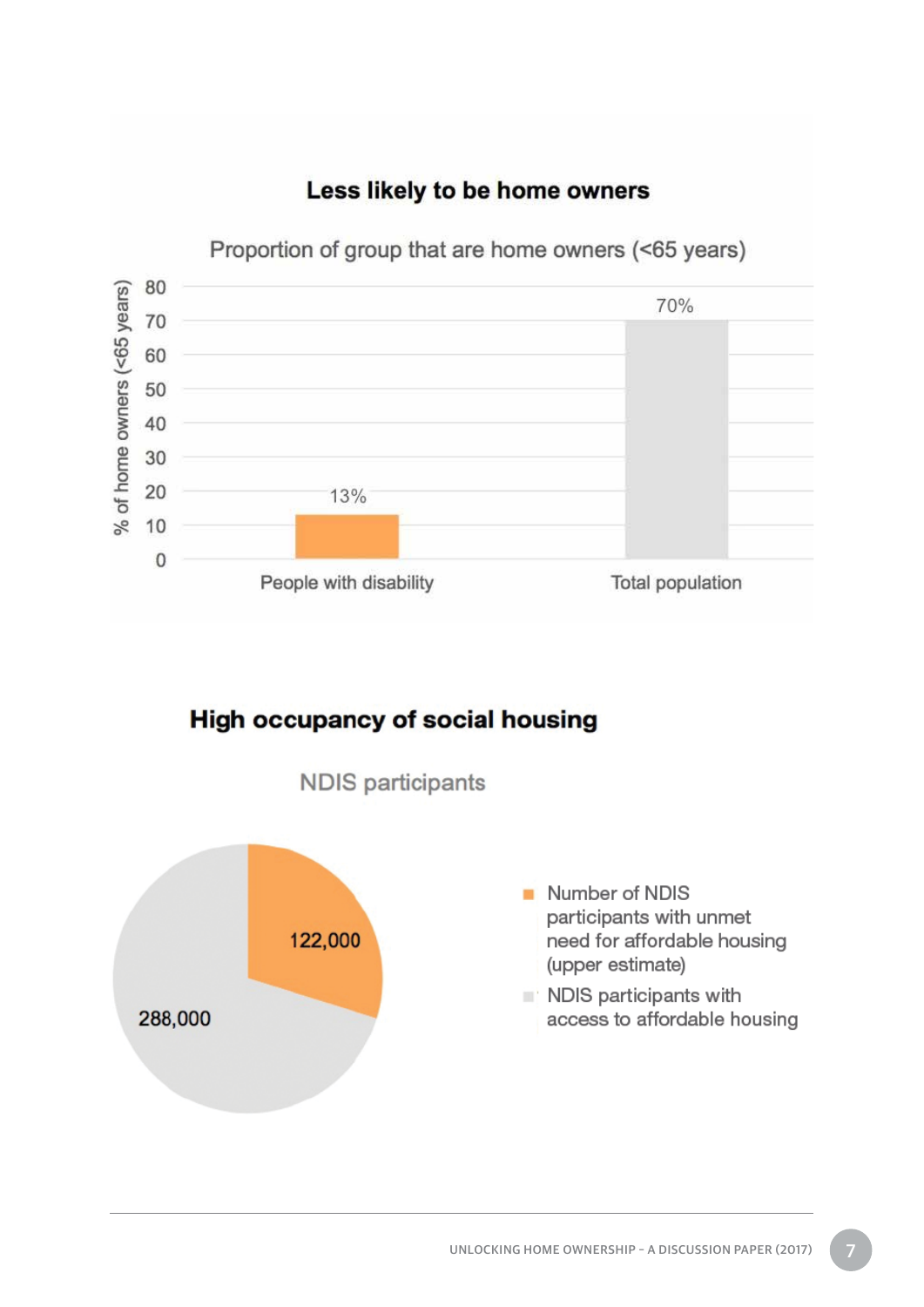

### Less likely to be home owners

**High occupancy of social housing** 

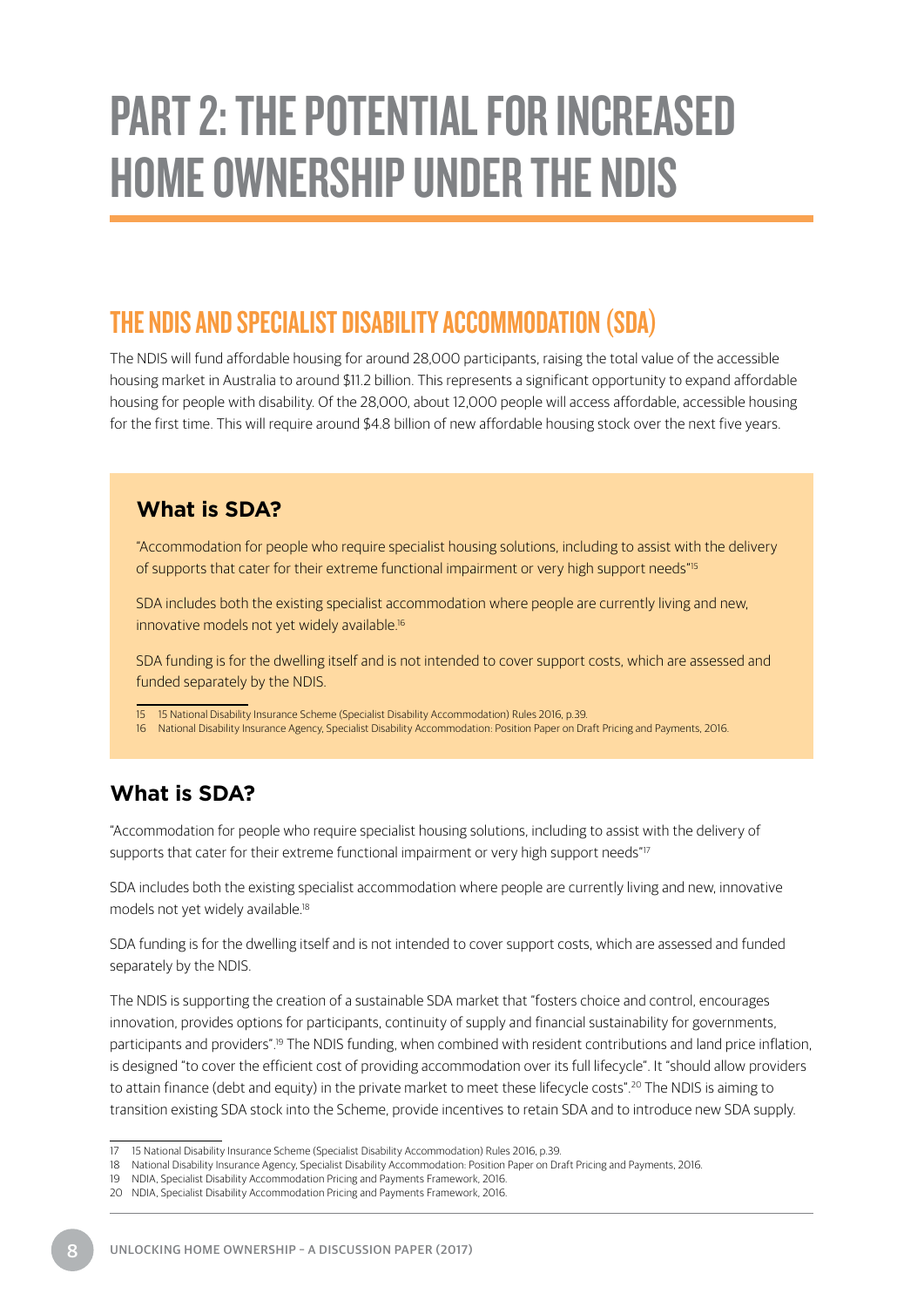# <span id="page-11-0"></span>PART 2: THE POTENTIAL FOR INCREASED HOME OWNERSHIP UNDER THE NDIS

### THE NDIS AND SPECIALIST DISABILITY ACCOMMODATION (SDA)

The NDIS will fund affordable housing for around 28,000 participants, raising the total value of the accessible housing market in Australia to around \$11.2 billion. This represents a significant opportunity to expand affordable housing for people with disability. Of the 28,000, about 12,000 people will access affordable, accessible housing for the first time. This will require around \$4.8 billion of new affordable housing stock over the next five years.

#### **What is SDA?**

"Accommodation for people who require specialist housing solutions, including to assist with the delivery of supports that cater for their extreme functional impairment or very high support needs"<sup>15</sup>

SDA includes both the existing specialist accommodation where people are currently living and new, innovative models not yet widely available.<sup>16</sup>

SDA funding is for the dwelling itself and is not intended to cover support costs, which are assessed and funded separately by the NDIS.

- 15 15 National Disability Insurance Scheme (Specialist Disability Accommodation) Rules 2016, p.39.
- 16 National Disability Insurance Agency, Specialist Disability Accommodation: Position Paper on Draft Pricing and Payments, 2016.

### **What is SDA?**

"Accommodation for people who require specialist housing solutions, including to assist with the delivery of supports that cater for their extreme functional impairment or very high support needs"<sup>17</sup>

SDA includes both the existing specialist accommodation where people are currently living and new, innovative models not yet widely available.<sup>18</sup>

SDA funding is for the dwelling itself and is not intended to cover support costs, which are assessed and funded separately by the NDIS.

The NDIS is supporting the creation of a sustainable SDA market that "fosters choice and control, encourages innovation, provides options for participants, continuity of supply and financial sustainability for governments, participants and providers".<sup>19</sup> The NDIS funding, when combined with resident contributions and land price inflation, is designed "to cover the efficient cost of providing accommodation over its full lifecycle". It "should allow providers to attain finance (debt and equity) in the private market to meet these lifecycle costs".<sup>20</sup> The NDIS is aiming to transition existing SDA stock into the Scheme, provide incentives to retain SDA and to introduce new SDA supply.

<sup>17</sup> 15 National Disability Insurance Scheme (Specialist Disability Accommodation) Rules 2016, p.39.

<sup>18</sup> National Disability Insurance Agency, Specialist Disability Accommodation: Position Paper on Draft Pricing and Payments, 2016.

<sup>19</sup> NDIA, Specialist Disability Accommodation Pricing and Payments Framework, 2016.

<sup>20</sup> NDIA, Specialist Disability Accommodation Pricing and Payments Framework, 2016.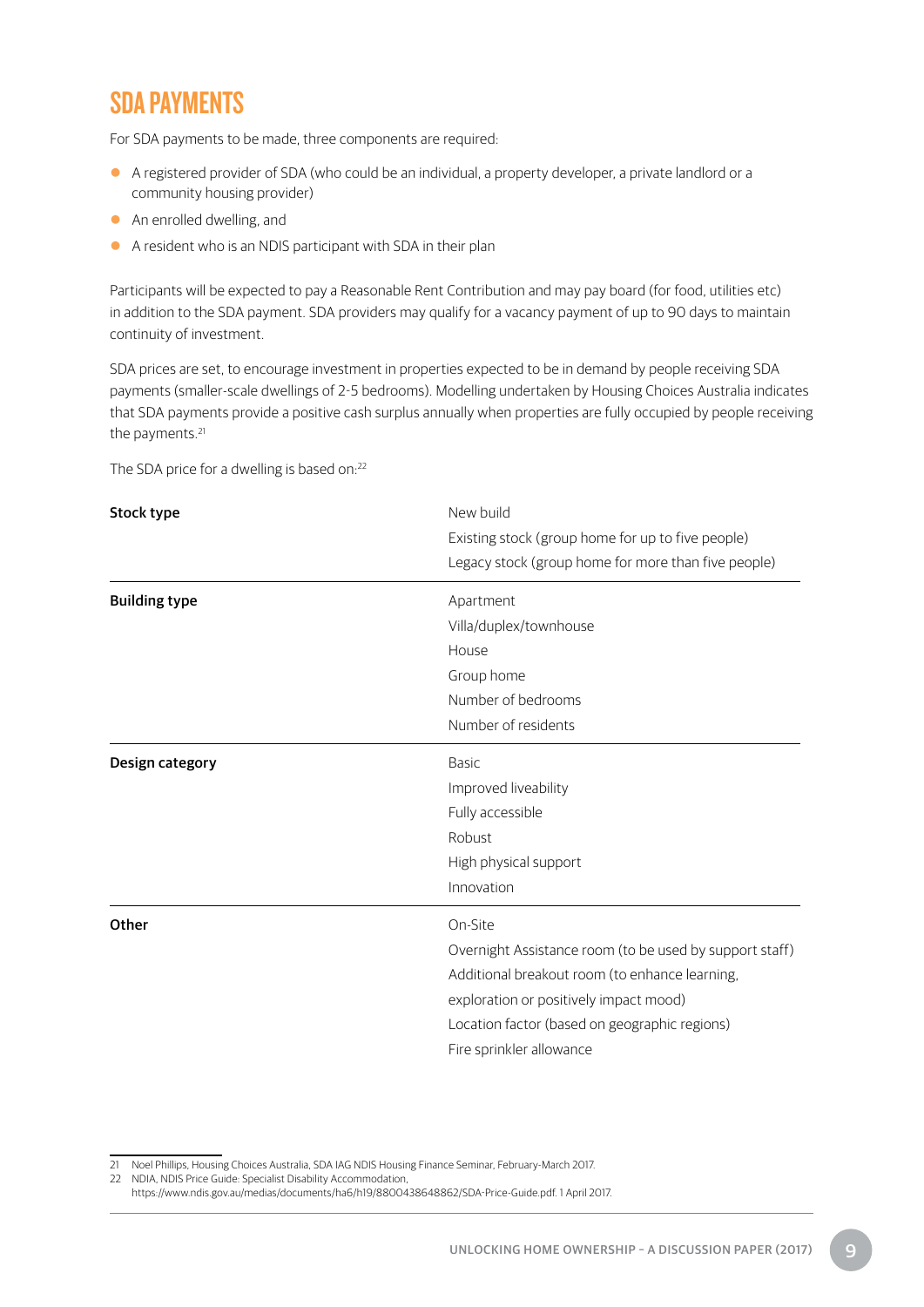## <span id="page-12-0"></span>SDA PAYMENTS

For SDA payments to be made, three components are required:

- A registered provider of SDA (who could be an individual, a property developer, a private landlord or a community housing provider)
- An enrolled dwelling, and
- A resident who is an NDIS participant with SDA in their plan

Participants will be expected to pay a Reasonable Rent Contribution and may pay board (for food, utilities etc) in addition to the SDA payment. SDA providers may qualify for a vacancy payment of up to 90 days to maintain continuity of investment.

SDA prices are set, to encourage investment in properties expected to be in demand by people receiving SDA payments (smaller-scale dwellings of 2-5 bedrooms). Modelling undertaken by Housing Choices Australia indicates that SDA payments provide a positive cash surplus annually when properties are fully occupied by people receiving the payments.<sup>21</sup>

The SDA price for a dwelling is based on:<sup>22</sup>

| Stock type           | New build<br>Existing stock (group home for up to five people)<br>Legacy stock (group home for more than five people)                                                                                                                       |  |
|----------------------|---------------------------------------------------------------------------------------------------------------------------------------------------------------------------------------------------------------------------------------------|--|
| <b>Building type</b> | Apartment<br>Villa/duplex/townhouse<br>House<br>Group home<br>Number of bedrooms<br>Number of residents                                                                                                                                     |  |
| Design category      | <b>Basic</b><br>Improved liveability<br>Fully accessible<br>Robust<br>High physical support<br>Innovation                                                                                                                                   |  |
| Other                | On-Site<br>Overnight Assistance room (to be used by support staff)<br>Additional breakout room (to enhance learning,<br>exploration or positively impact mood)<br>Location factor (based on geographic regions)<br>Fire sprinkler allowance |  |

<sup>21</sup> Noel Phillips, Housing Choices Australia, SDA IAG NDIS Housing Finance Seminar, February-March 2017.

<sup>22</sup> NDIA, NDIS Price Guide: Specialist Disability Accommodation,

https://www.ndis.gov.au/medias/documents/ha6/h19/8800438648862/SDA-Price-Guide.pdf. 1 April 2017.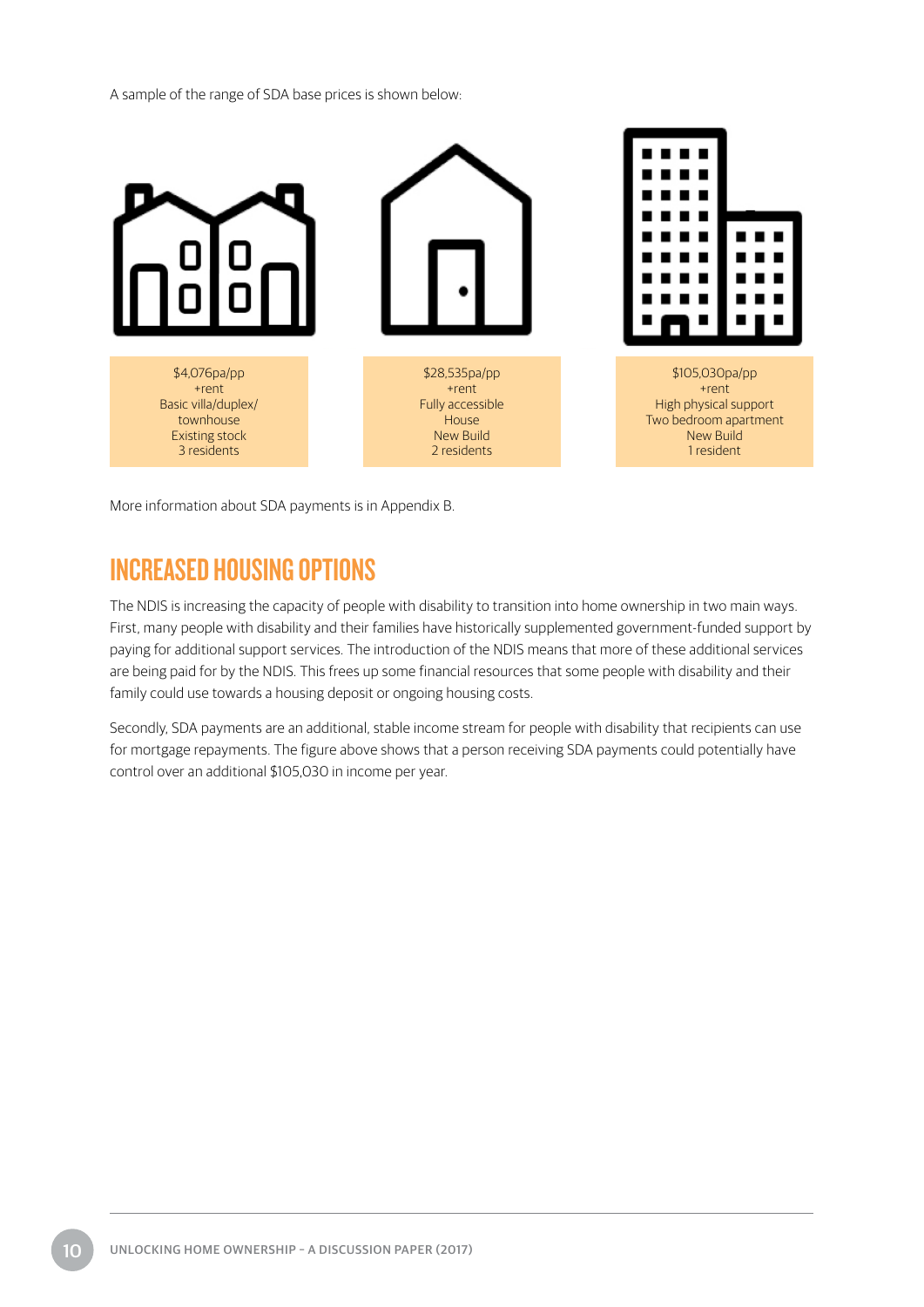<span id="page-13-0"></span>A sample of the range of SDA base prices is shown below:



More information about SDA payments is in Appendix B.

### INCREASED HOUSING OPTIONS

The NDIS is increasing the capacity of people with disability to transition into home ownership in two main ways. First, many people with disability and their families have historically supplemented government-funded support by paying for additional support services. The introduction of the NDIS means that more of these additional services are being paid for by the NDIS. This frees up some financial resources that some people with disability and their family could use towards a housing deposit or ongoing housing costs.

Secondly, SDA payments are an additional, stable income stream for people with disability that recipients can use for mortgage repayments. The figure above shows that a person receiving SDA payments could potentially have control over an additional \$105,030 in income per year.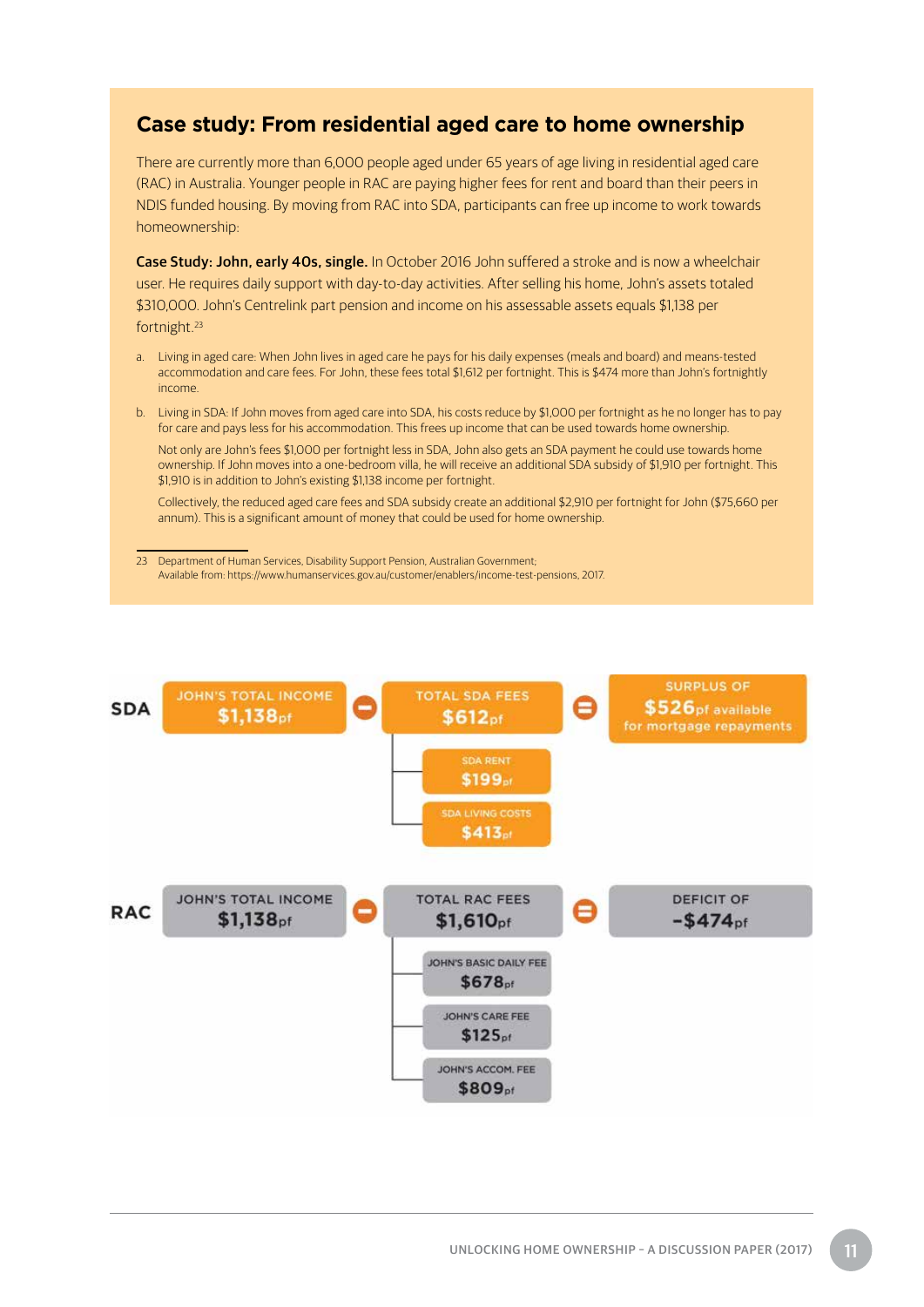### **Case study: From residential aged care to home ownership**

There are currently more than 6,000 people aged under 65 years of age living in residential aged care (RAC) in Australia. Younger people in RAC are paying higher fees for rent and board than their peers in NDIS funded housing. By moving from RAC into SDA, participants can free up income to work towards homeownership:

Case Study: John, early 40s, single. In October 2016 John suffered a stroke and is now a wheelchair user. He requires daily support with day-to-day activities. After selling his home, John's assets totaled \$310,000. John's Centrelink part pension and income on his assessable assets equals \$1,138 per fortnight.23

- a. Living in aged care: When John lives in aged care he pays for his daily expenses (meals and board) and means-tested accommodation and care fees. For John, these fees total \$1,612 per fortnight. This is \$474 more than John's fortnightly income.
- b. Living in SDA: If John moves from aged care into SDA, his costs reduce by \$1,000 per fortnight as he no longer has to pay for care and pays less for his accommodation. This frees up income that can be used towards home ownership.

Not only are John's fees \$1,000 per fortnight less in SDA, John also gets an SDA payment he could use towards home ownership. If John moves into a one-bedroom villa, he will receive an additional SDA subsidy of \$1,910 per fortnight. This \$1,910 is in addition to John's existing \$1,138 income per fortnight.

Collectively, the reduced aged care fees and SDA subsidy create an additional \$2,910 per fortnight for John (\$75,660 per annum). This is a significant amount of money that could be used for home ownership.

23 Department of Human Services, Disability Support Pension, Australian Government; Available from: https://www.humanservices.gov.au/customer/enablers/income-test-pensions, 2017.

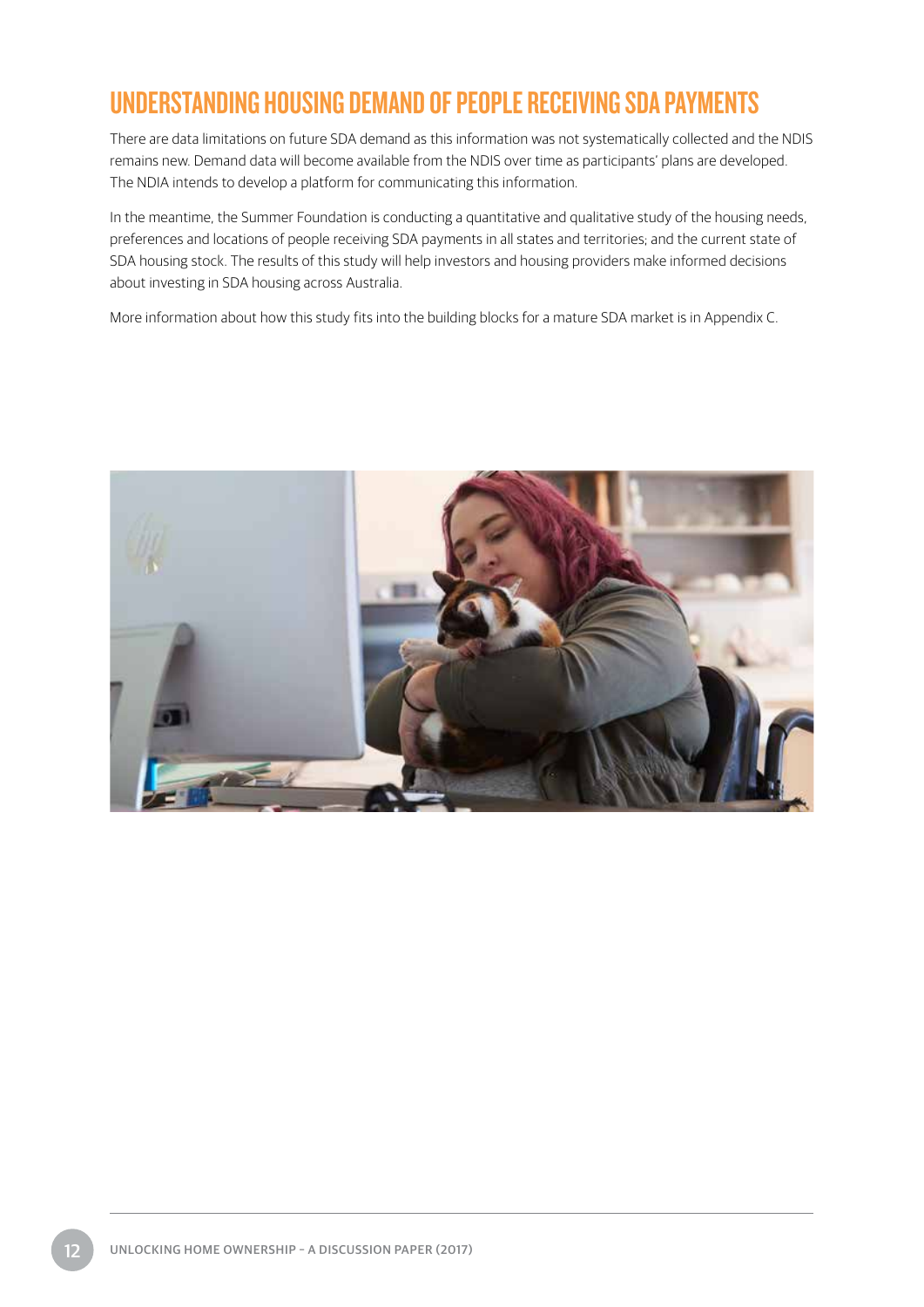## <span id="page-15-0"></span>UNDERSTANDING HOUSING DEMAND OF PEOPLE RECEIVING SDA PAYMENTS

There are data limitations on future SDA demand as this information was not systematically collected and the NDIS remains new. Demand data will become available from the NDIS over time as participants' plans are developed. The NDIA intends to develop a platform for communicating this information.

In the meantime, the Summer Foundation is conducting a quantitative and qualitative study of the housing needs, preferences and locations of people receiving SDA payments in all states and territories; and the current state of SDA housing stock. The results of this study will help investors and housing providers make informed decisions about investing in SDA housing across Australia.

More information about how this study fits into the building blocks for a mature SDA market is in Appendix C.

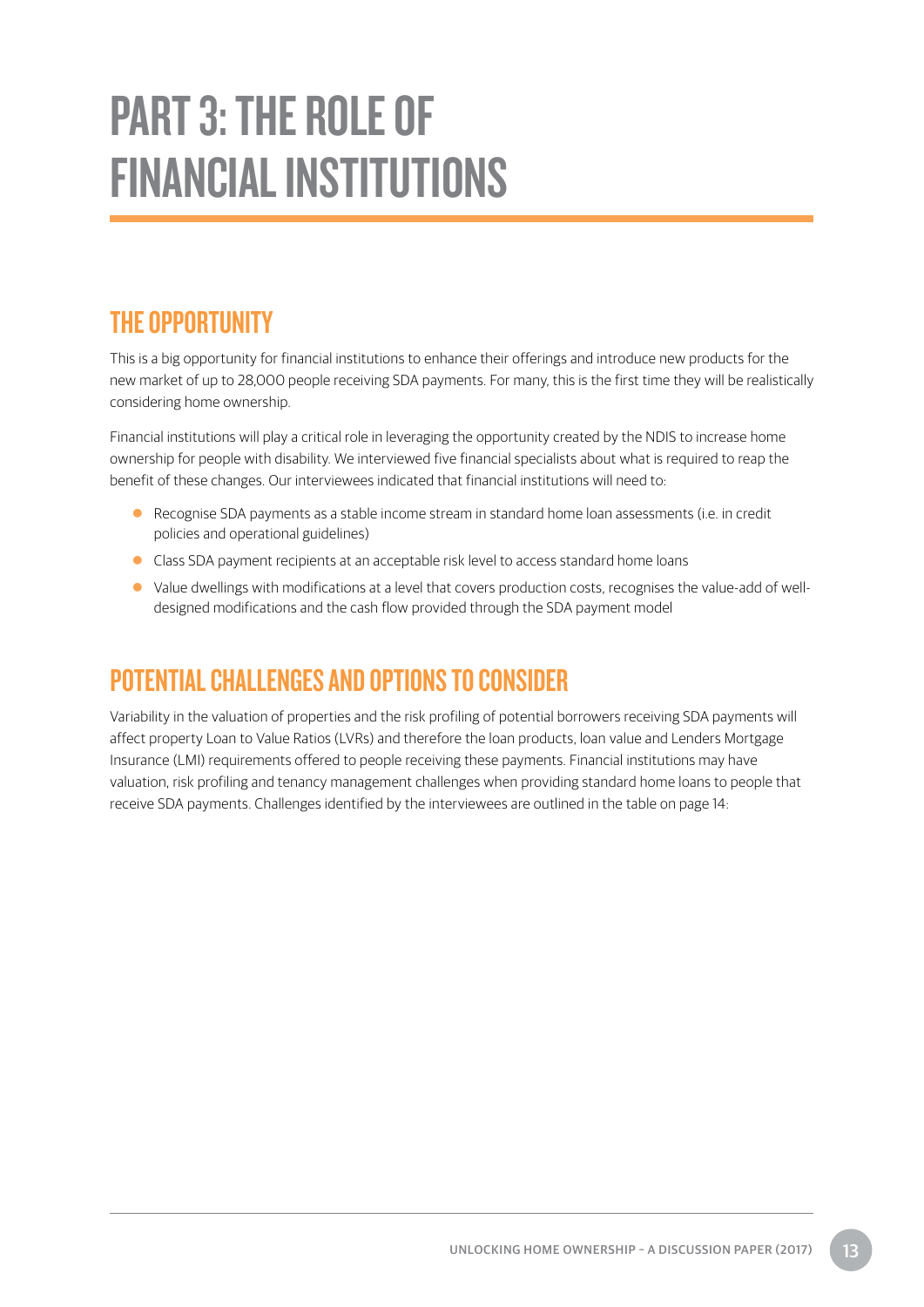# <span id="page-16-0"></span>PART 3: THE ROLE OF FINANCIAL INSTITUTIONS

## THE OPPORTUNITY

This is a big opportunity for financial institutions to enhance their offerings and introduce new products for the new market of up to 28,000 people receiving SDA payments. For many, this is the first time they will be realistically considering home ownership.

Financial institutions will play a critical role in leveraging the opportunity created by the NDIS to increase home ownership for people with disability. We interviewed five financial specialists about what is required to reap the benefit of these changes. Our interviewees indicated that financial institutions will need to:

- Recognise SDA payments as a stable income stream in standard home loan assessments (i.e. in credit policies and operational guidelines)
- Class SDA payment recipients at an acceptable risk level to access standard home loans
- Value dwellings with modifications at a level that covers production costs, recognises the value-add of welldesigned modifications and the cash flow provided through the SDA payment model

## POTENTIAL CHALLENGES AND OPTIONS TO CONSIDER

Variability in the valuation of properties and the risk profiling of potential borrowers receiving SDA payments will affect property Loan to Value Ratios (LVRs) and therefore the loan products, loan value and Lenders Mortgage Insurance (LMI) requirements offered to people receiving these payments. Financial institutions may have valuation, risk profiling and tenancy management challenges when providing standard home loans to people that receive SDA payments. Challenges identified by the interviewees are outlined in the table on page 14: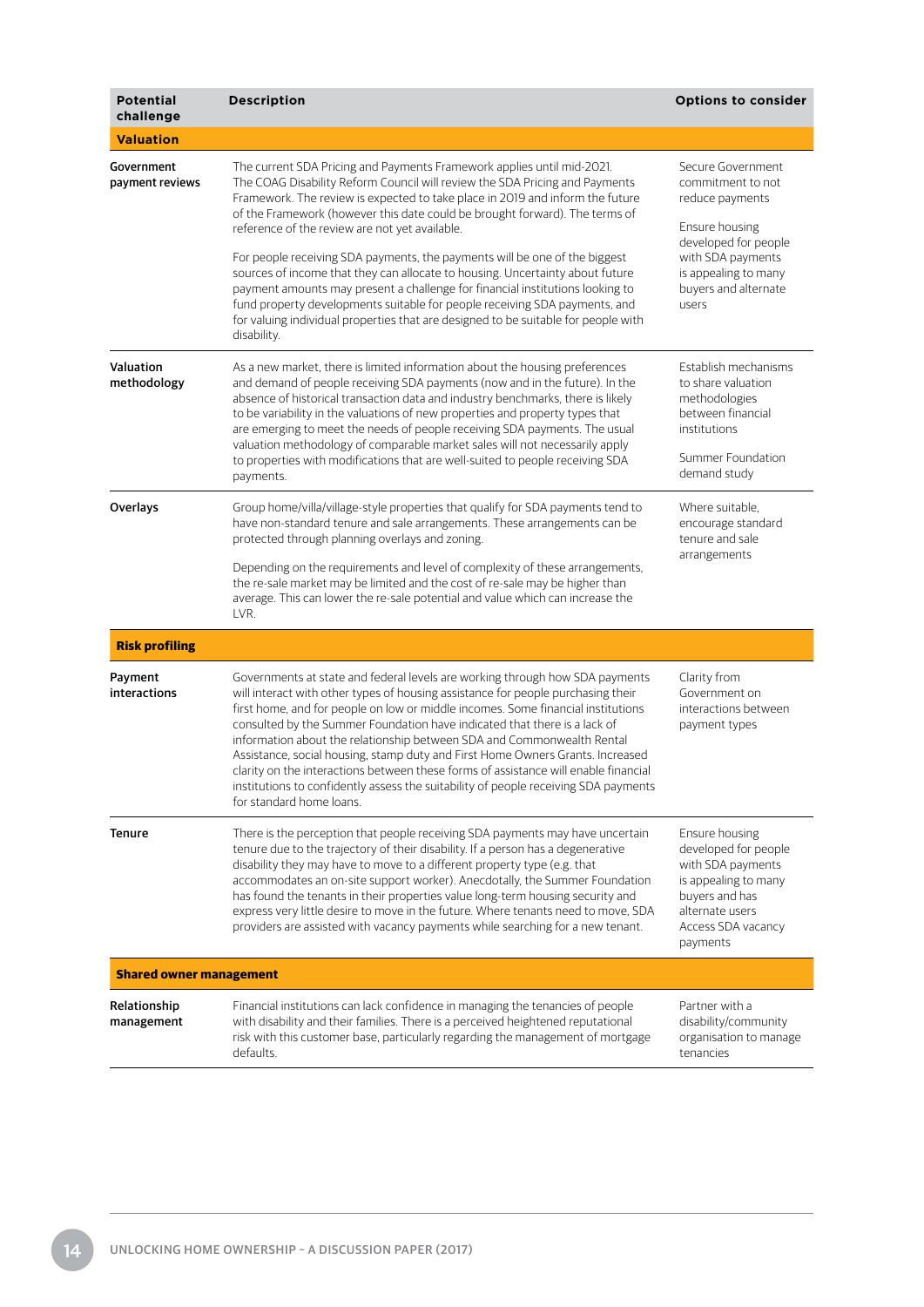| <b>Potential</b><br>challenge  | <b>Description</b>                                                                                                                                                                                                                                                                                                                                                                                                                                                                                                                                                                                                                                                                                                                                                                                         | <b>Options to consider</b>                                                                                                                                                        |
|--------------------------------|------------------------------------------------------------------------------------------------------------------------------------------------------------------------------------------------------------------------------------------------------------------------------------------------------------------------------------------------------------------------------------------------------------------------------------------------------------------------------------------------------------------------------------------------------------------------------------------------------------------------------------------------------------------------------------------------------------------------------------------------------------------------------------------------------------|-----------------------------------------------------------------------------------------------------------------------------------------------------------------------------------|
| <b>Valuation</b>               |                                                                                                                                                                                                                                                                                                                                                                                                                                                                                                                                                                                                                                                                                                                                                                                                            |                                                                                                                                                                                   |
| Government<br>payment reviews  | The current SDA Pricing and Payments Framework applies until mid-2021.<br>The COAG Disability Reform Council will review the SDA Pricing and Payments<br>Framework. The review is expected to take place in 2019 and inform the future<br>of the Framework (however this date could be brought forward). The terms of<br>reference of the review are not yet available.<br>For people receiving SDA payments, the payments will be one of the biggest<br>sources of income that they can allocate to housing. Uncertainty about future<br>payment amounts may present a challenge for financial institutions looking to<br>fund property developments suitable for people receiving SDA payments, and<br>for valuing individual properties that are designed to be suitable for people with<br>disability. | Secure Government<br>commitment to not<br>reduce payments<br>Ensure housing<br>developed for people<br>with SDA payments<br>is appealing to many<br>buyers and alternate<br>users |
| Valuation<br>methodology       | As a new market, there is limited information about the housing preferences<br>and demand of people receiving SDA payments (now and in the future). In the<br>absence of historical transaction data and industry benchmarks, there is likely<br>to be variability in the valuations of new properties and property types that<br>are emerging to meet the needs of people receiving SDA payments. The usual<br>valuation methodology of comparable market sales will not necessarily apply<br>to properties with modifications that are well-suited to people receiving SDA<br>payments.                                                                                                                                                                                                                  | Establish mechanisms<br>to share valuation<br>methodologies<br>between financial<br>institutions<br>Summer Foundation<br>demand study                                             |
| Overlays                       | Group home/villa/village-style properties that qualify for SDA payments tend to<br>have non-standard tenure and sale arrangements. These arrangements can be<br>protected through planning overlays and zoning.<br>Depending on the requirements and level of complexity of these arrangements,<br>the re-sale market may be limited and the cost of re-sale may be higher than<br>average. This can lower the re-sale potential and value which can increase the<br>LVR.                                                                                                                                                                                                                                                                                                                                  | Where suitable,<br>encourage standard<br>tenure and sale<br>arrangements                                                                                                          |
| <b>Risk profiling</b>          |                                                                                                                                                                                                                                                                                                                                                                                                                                                                                                                                                                                                                                                                                                                                                                                                            |                                                                                                                                                                                   |
| Payment<br>interactions        | Governments at state and federal levels are working through how SDA payments<br>will interact with other types of housing assistance for people purchasing their<br>first home, and for people on low or middle incomes. Some financial institutions<br>consulted by the Summer Foundation have indicated that there is a lack of<br>information about the relationship between SDA and Commonwealth Rental<br>Assistance, social housing, stamp duty and First Home Owners Grants. Increased<br>clarity on the interactions between these forms of assistance will enable financial<br>institutions to confidently assess the suitability of people receiving SDA payments<br>for standard home loans.                                                                                                    | Clarity from<br>Government on<br>interactions between<br>payment types                                                                                                            |
| Tenure                         | There is the perception that people receiving SDA payments may have uncertain<br>tenure due to the trajectory of their disability. If a person has a degenerative<br>disability they may have to move to a different property type (e.g. that<br>accommodates an on-site support worker). Anecdotally, the Summer Foundation<br>has found the tenants in their properties value long-term housing security and<br>express very little desire to move in the future. Where tenants need to move, SDA<br>providers are assisted with vacancy payments while searching for a new tenant.                                                                                                                                                                                                                      | Ensure housing<br>developed for people<br>with SDA payments<br>is appealing to many<br>buyers and has<br>alternate users<br>Access SDA vacancy<br>payments                        |
| <b>Shared owner management</b> |                                                                                                                                                                                                                                                                                                                                                                                                                                                                                                                                                                                                                                                                                                                                                                                                            |                                                                                                                                                                                   |
| Relationship<br>management     | Financial institutions can lack confidence in managing the tenancies of people<br>with disability and their families. There is a perceived heightened reputational<br>risk with this customer base, particularly regarding the management of mortgage<br>defaults.                                                                                                                                                                                                                                                                                                                                                                                                                                                                                                                                         | Partner with a<br>disability/community<br>organisation to manage<br>tenancies                                                                                                     |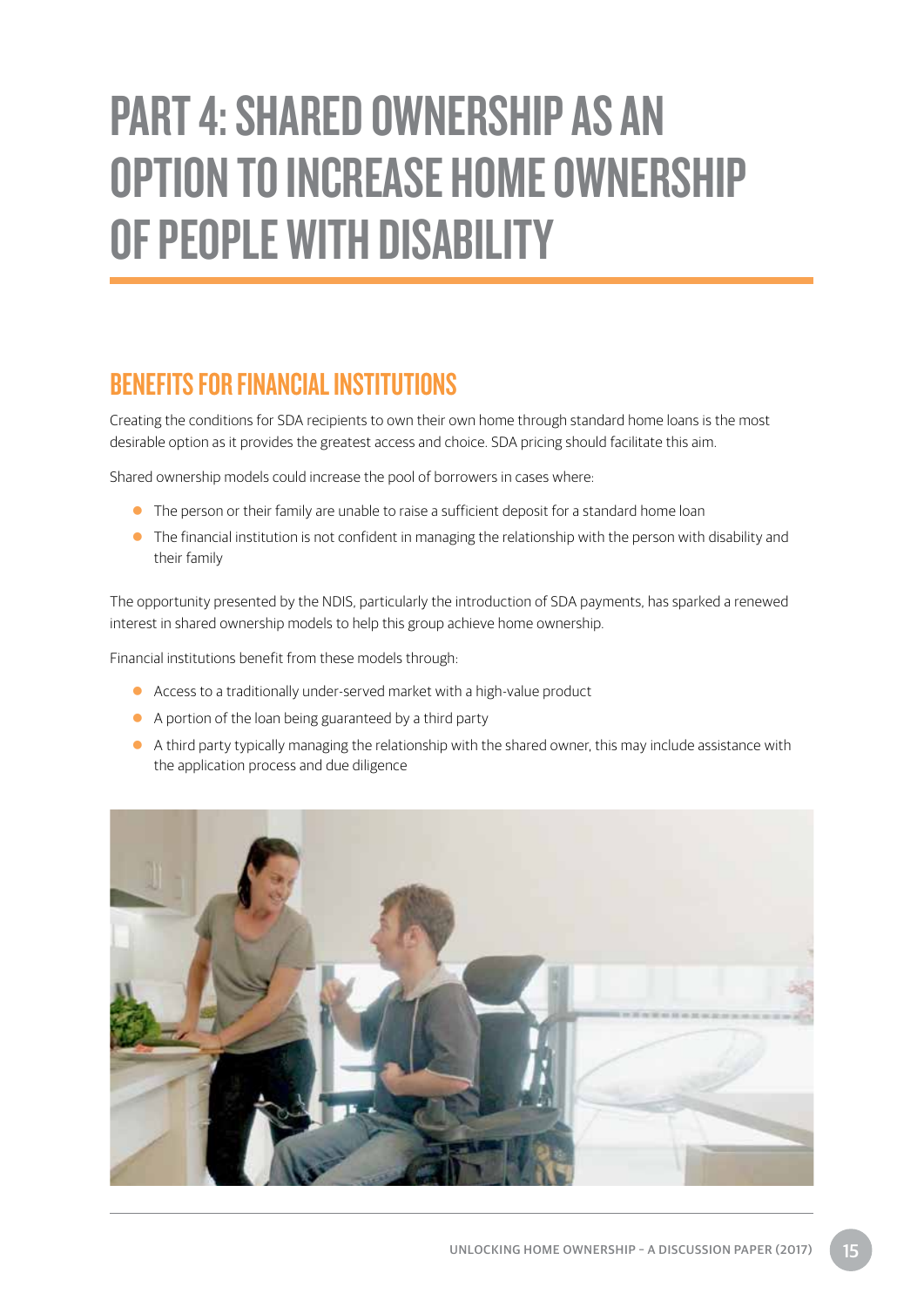# <span id="page-18-0"></span>PART 4: SHARED OWNERSHIP AS AN OPTION TO INCREASE HOME OWNERSHIP OF PEOPLE WITH DISABILITY

## BENEFITS FOR FINANCIAL INSTITUTIONS

Creating the conditions for SDA recipients to own their own home through standard home loans is the most desirable option as it provides the greatest access and choice. SDA pricing should facilitate this aim.

Shared ownership models could increase the pool of borrowers in cases where:

- $\bullet$  The person or their family are unable to raise a sufficient deposit for a standard home loan
- $\bullet$  The financial institution is not confident in managing the relationship with the person with disability and their family

The opportunity presented by the NDIS, particularly the introduction of SDA payments, has sparked a renewed interest in shared ownership models to help this group achieve home ownership.

Financial institutions benefit from these models through:

- Access to a traditionally under-served market with a high-value product
- A portion of the loan being guaranteed by a third party
- A third party typically managing the relationship with the shared owner, this may include assistance with the application process and due diligence

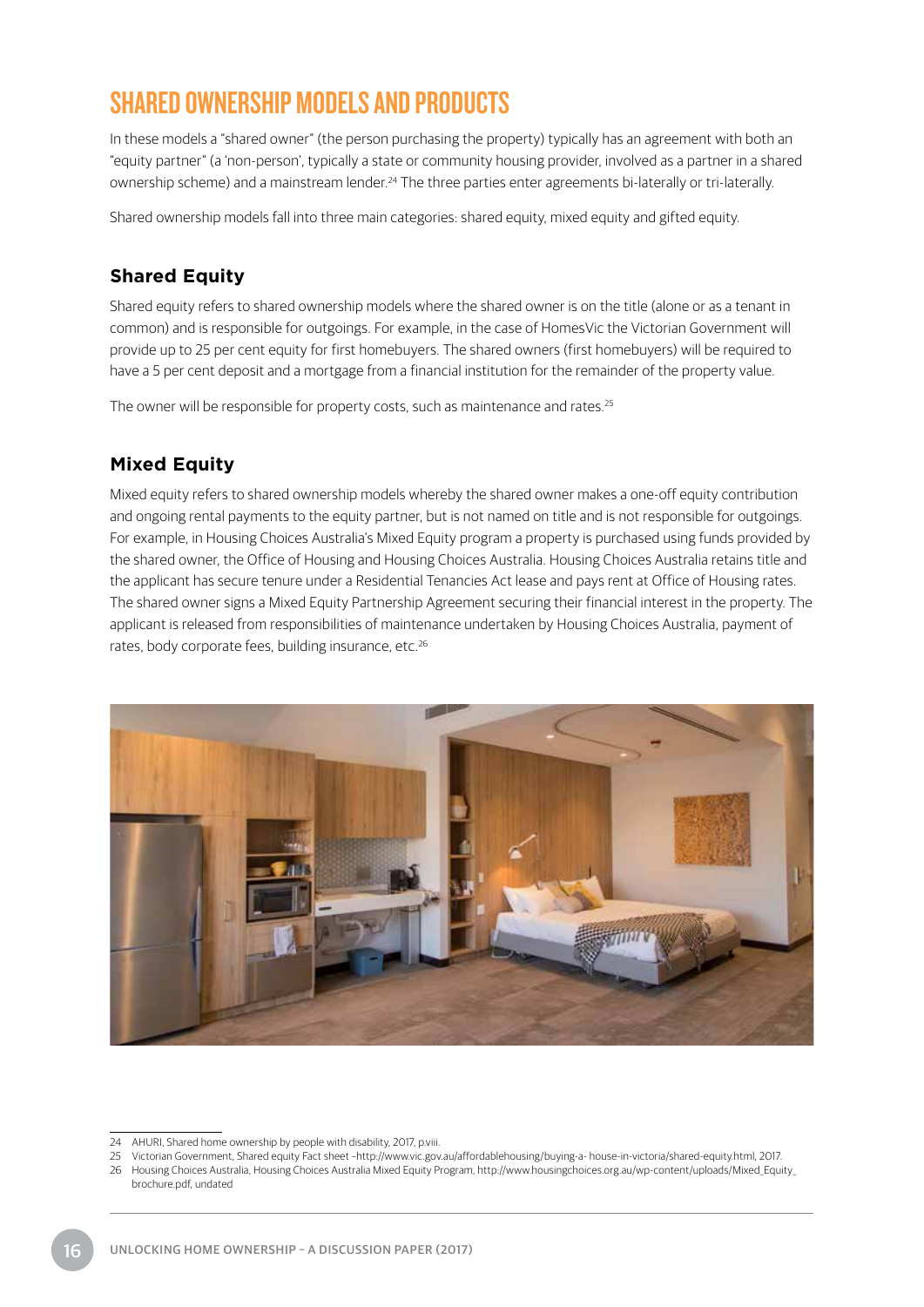## SHARED OWNERSHIP MODELS AND PRODUCTS

In these models a "shared owner" (the person purchasing the property) typically has an agreement with both an "equity partner" (a 'non-person', typically a state or community housing provider, involved as a partner in a shared ownership scheme) and a mainstream lender.24 The three parties enter agreements bi-laterally or tri-laterally.

Shared ownership models fall into three main categories: shared equity, mixed equity and gifted equity.

#### **Shared Equity**

Shared equity refers to shared ownership models where the shared owner is on the title (alone or as a tenant in common) and is responsible for outgoings. For example, in the case of HomesVic the Victorian Government will provide up to 25 per cent equity for first homebuyers. The shared owners (first homebuyers) will be required to have a 5 per cent deposit and a mortgage from a financial institution for the remainder of the property value.

The owner will be responsible for property costs, such as maintenance and rates.<sup>25</sup>

#### **Mixed Equity**

Mixed equity refers to shared ownership models whereby the shared owner makes a one-off equity contribution and ongoing rental payments to the equity partner, but is not named on title and is not responsible for outgoings. For example, in Housing Choices Australia's Mixed Equity program a property is purchased using funds provided by the shared owner, the Office of Housing and Housing Choices Australia. Housing Choices Australia retains title and the applicant has secure tenure under a Residential Tenancies Act lease and pays rent at Office of Housing rates. The shared owner signs a Mixed Equity Partnership Agreement securing their financial interest in the property. The applicant is released from responsibilities of maintenance undertaken by Housing Choices Australia, payment of rates, body corporate fees, building insurance, etc.<sup>26</sup>



25 Victorian Government, Shared equity Fact sheet –http://www.vic.gov.au/affordablehousing/buying-a- house-in-victoria/shared-equity.html, 2017.

<sup>24</sup> AHURI, Shared home ownership by people with disability, 2017, p.viii.

<sup>26</sup> Housing Choices Australia, Housing Choices Australia Mixed Equity Program, http://www.housingchoices.org.au/wp-content/uploads/Mixed\_Equity\_ brochure.pdf, undated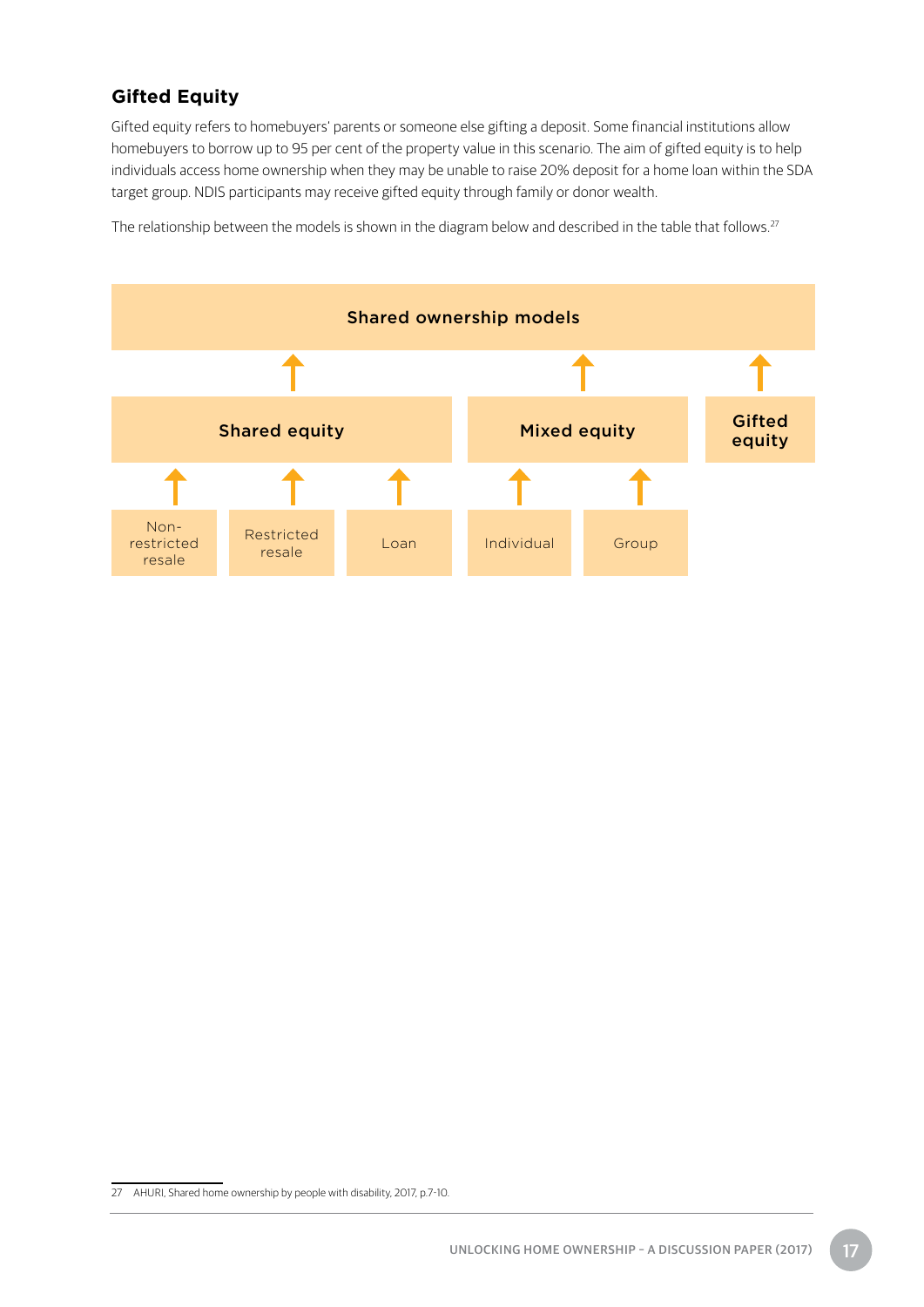#### **Gifted Equity**

Gifted equity refers to homebuyers' parents or someone else gifting a deposit. Some financial institutions allow homebuyers to borrow up to 95 per cent of the property value in this scenario. The aim of gifted equity is to help individuals access home ownership when they may be unable to raise 20% deposit for a home loan within the SDA target group. NDIS participants may receive gifted equity through family or donor wealth.

The relationship between the models is shown in the diagram below and described in the table that follows.<sup>27</sup>



<sup>27</sup> AHURI, Shared home ownership by people with disability, 2017, p.7-10.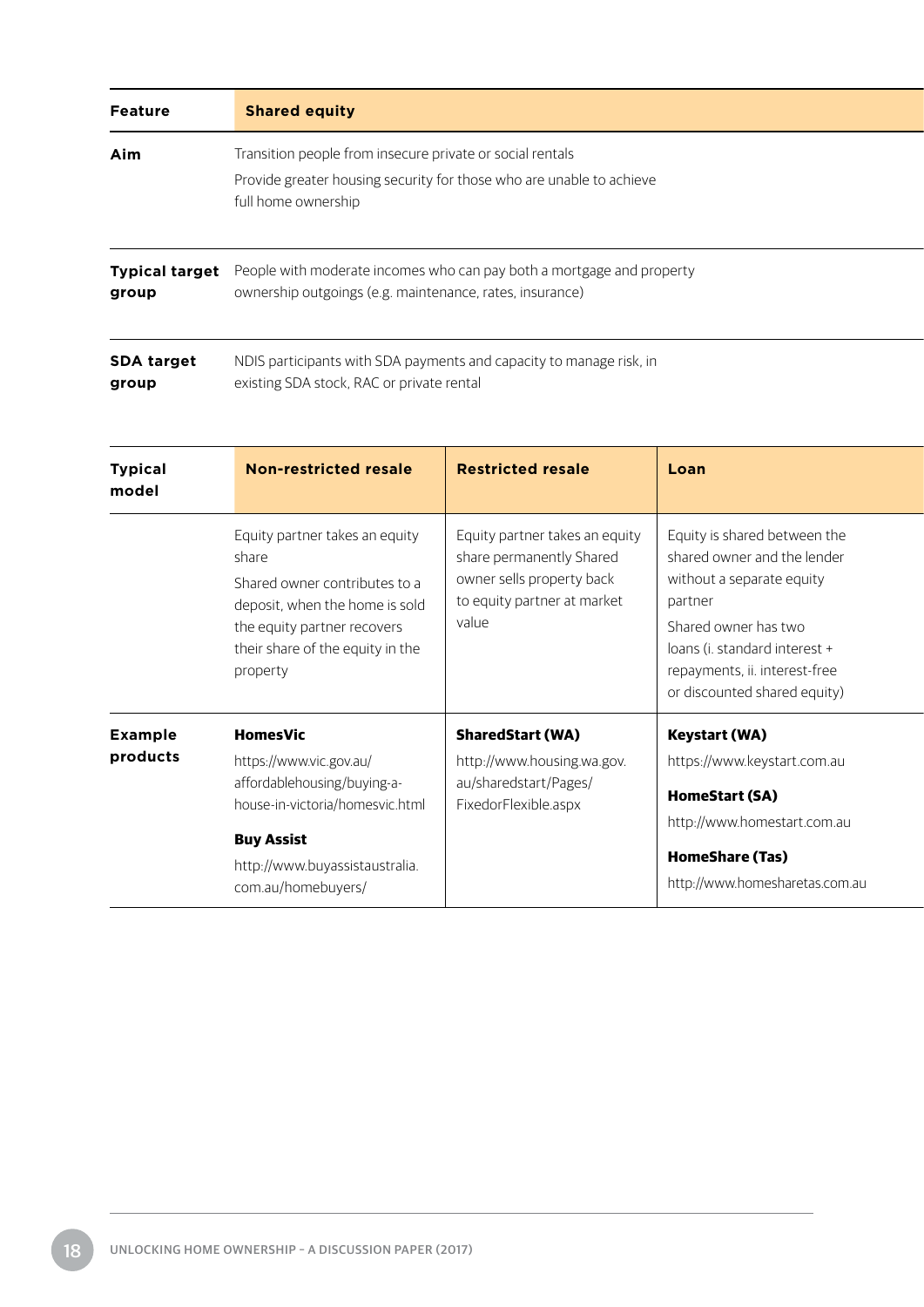| <b>Feature</b>                 | <b>Shared equity</b>                                                                                                                                                                      |                                                                                                                                 |                                                                                                                                                                                                                               |  |
|--------------------------------|-------------------------------------------------------------------------------------------------------------------------------------------------------------------------------------------|---------------------------------------------------------------------------------------------------------------------------------|-------------------------------------------------------------------------------------------------------------------------------------------------------------------------------------------------------------------------------|--|
| Aim                            | Transition people from insecure private or social rentals<br>Provide greater housing security for those who are unable to achieve<br>full home ownership                                  |                                                                                                                                 |                                                                                                                                                                                                                               |  |
| <b>Typical target</b><br>group | People with moderate incomes who can pay both a mortgage and property<br>ownership outgoings (e.g. maintenance, rates, insurance)                                                         |                                                                                                                                 |                                                                                                                                                                                                                               |  |
| <b>SDA target</b><br>group     | NDIS participants with SDA payments and capacity to manage risk, in<br>existing SDA stock, RAC or private rental                                                                          |                                                                                                                                 |                                                                                                                                                                                                                               |  |
| <b>Typical</b><br>model        | <b>Non-restricted resale</b>                                                                                                                                                              | <b>Restricted resale</b>                                                                                                        | Loan                                                                                                                                                                                                                          |  |
|                                | Equity partner takes an equity<br>share<br>Shared owner contributes to a<br>deposit, when the home is sold<br>the equity partner recovers<br>their share of the equity in the<br>property | Equity partner takes an equity<br>share permanently Shared<br>owner sells property back<br>to equity partner at market<br>value | Equity is shared between the<br>shared owner and the lender<br>without a separate equity<br>partner<br>Shared owner has two<br>loans (i. standard interest +<br>repayments, ii. interest-free<br>or discounted shared equity) |  |

|                |                                                        |                                                     | OF GISCOULITED SHAFED EQUITY)                            |
|----------------|--------------------------------------------------------|-----------------------------------------------------|----------------------------------------------------------|
| <b>Example</b> | <b>HomesVic</b>                                        | <b>SharedStart (WA)</b>                             | <b>Keystart (WA)</b>                                     |
| products       | https://www.vic.gov.au/<br>affordablehousing/buying-a- | http://www.housing.wa.gov.<br>au/sharedstart/Pages/ | https://www.keystart.com.au                              |
|                | house-in-victoria/homesvic.html                        | FixedorFlexible.aspx                                | <b>HomeStart (SA)</b><br>http://www.homestart.com.au     |
|                | <b>Buy Assist</b>                                      |                                                     |                                                          |
|                | http://www.buyassistaustralia.<br>com.au/homebuyers/   |                                                     | <b>HomeShare (Tas)</b><br>http://www.homesharetas.com.au |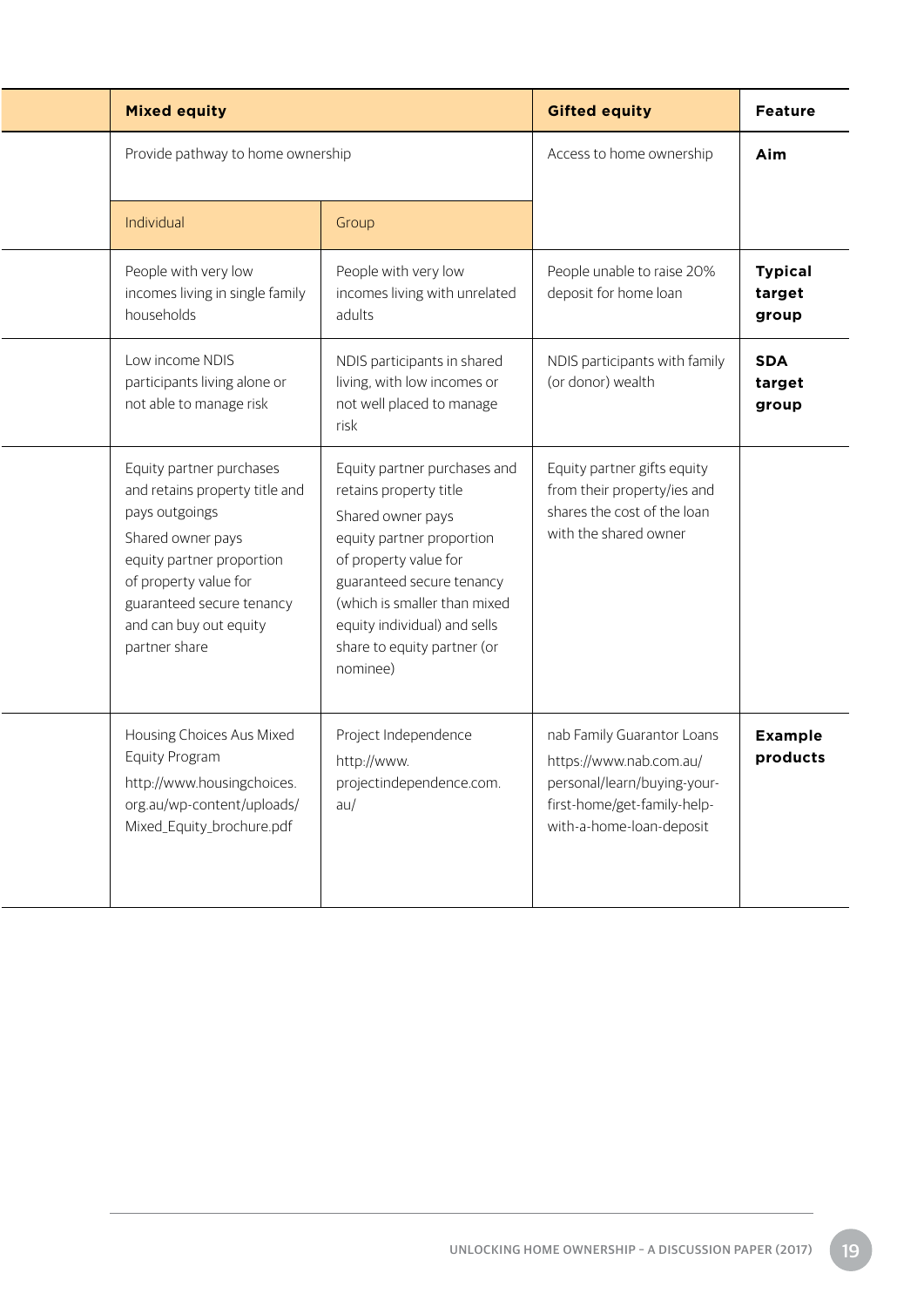| <b>Mixed equity</b>                                                                                                                                                                                                             |                                                                                                                                                                                                                                                                           | <b>Gifted equity</b>                                                                                                                            | <b>Feature</b>                    |
|---------------------------------------------------------------------------------------------------------------------------------------------------------------------------------------------------------------------------------|---------------------------------------------------------------------------------------------------------------------------------------------------------------------------------------------------------------------------------------------------------------------------|-------------------------------------------------------------------------------------------------------------------------------------------------|-----------------------------------|
| Provide pathway to home ownership                                                                                                                                                                                               |                                                                                                                                                                                                                                                                           | Access to home ownership                                                                                                                        | Aim                               |
| Individual                                                                                                                                                                                                                      | Group                                                                                                                                                                                                                                                                     |                                                                                                                                                 |                                   |
| People with very low<br>incomes living in single family<br>households                                                                                                                                                           | People with very low<br>incomes living with unrelated<br>adults                                                                                                                                                                                                           | People unable to raise 20%<br>deposit for home loan                                                                                             | <b>Typical</b><br>target<br>group |
| Low income NDIS<br>participants living alone or<br>not able to manage risk                                                                                                                                                      | NDIS participants in shared<br>living, with low incomes or<br>not well placed to manage<br>risk                                                                                                                                                                           | NDIS participants with family<br>(or donor) wealth                                                                                              | <b>SDA</b><br>target<br>group     |
| Equity partner purchases<br>and retains property title and<br>pays outgoings<br>Shared owner pays<br>equity partner proportion<br>of property value for<br>guaranteed secure tenancy<br>and can buy out equity<br>partner share | Equity partner purchases and<br>retains property title<br>Shared owner pays<br>equity partner proportion<br>of property value for<br>guaranteed secure tenancy<br>(which is smaller than mixed<br>equity individual) and sells<br>share to equity partner (or<br>nominee) | Equity partner gifts equity<br>from their property/ies and<br>shares the cost of the loan<br>with the shared owner                              |                                   |
| Housing Choices Aus Mixed<br>Equity Program<br>http://www.housingchoices.<br>org.au/wp-content/uploads/<br>Mixed_Equity_brochure.pdf                                                                                            | Project Independence<br>http://www.<br>projectindependence.com.<br>au/                                                                                                                                                                                                    | nab Family Guarantor Loans<br>https://www.nab.com.au/<br>personal/learn/buying-your-<br>first-home/get-family-help-<br>with-a-home-loan-deposit | <b>Example</b><br>products        |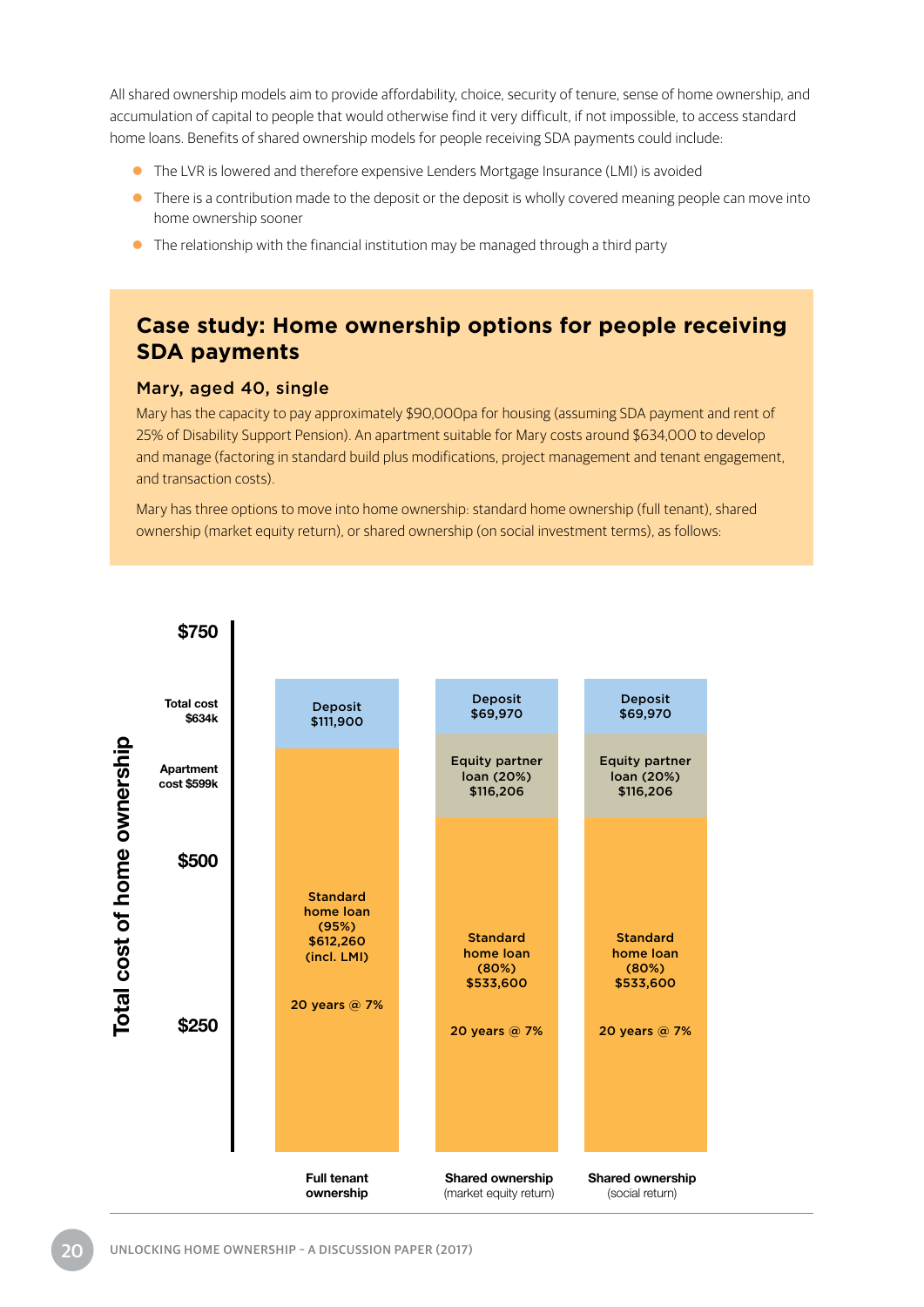All shared ownership models aim to provide affordability, choice, security of tenure, sense of home ownership, and accumulation of capital to people that would otherwise find it very difficult, if not impossible, to access standard home loans. Benefits of shared ownership models for people receiving SDA payments could include:

- **•** The LVR is lowered and therefore expensive Lenders Mortgage Insurance (LMI) is avoided
- There is a contribution made to the deposit or the deposit is wholly covered meaning people can move into home ownership sooner
- $\bullet$  The relationship with the financial institution may be managed through a third party

### **Case study: Home ownership options for people receiving SDA payments**

#### Mary, aged 40, single

Mary has the capacity to pay approximately \$90,000pa for housing (assuming SDA payment and rent of 25% of Disability Support Pension). An apartment suitable for Mary costs around \$634,000 to develop and manage (factoring in standard build plus modifications, project management and tenant engagement, and transaction costs).

Mary has three options to move into home ownership: standard home ownership (full tenant), shared ownership (market equity return), or shared ownership (on social investment terms), as follows:

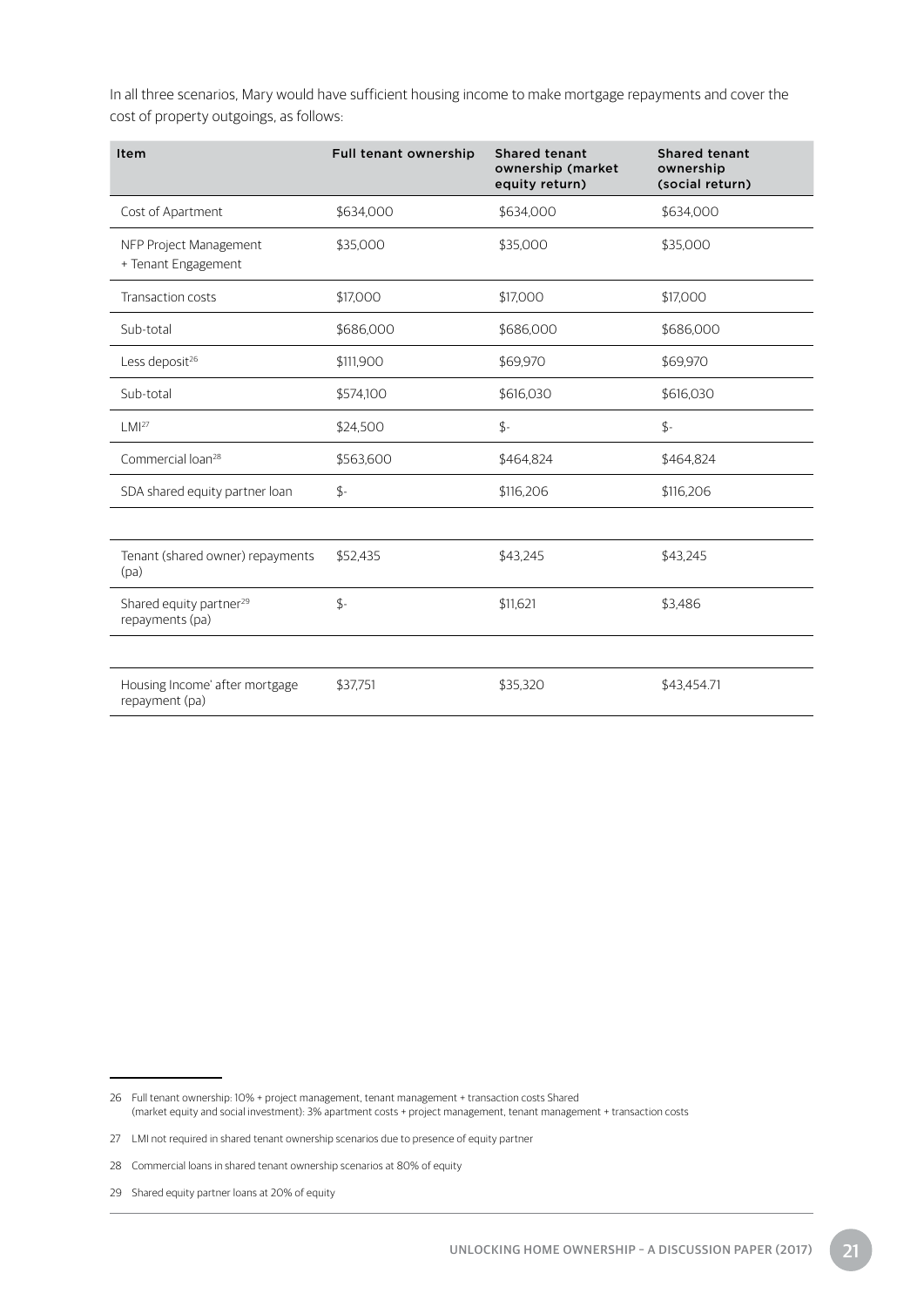In all three scenarios, Mary would have sufficient housing income to make mortgage repayments and cover the cost of property outgoings, as follows:

| Item                                                   | Full tenant ownership | <b>Shared tenant</b><br>ownership (market<br>equity return) | <b>Shared tenant</b><br>ownership<br>(social return) |
|--------------------------------------------------------|-----------------------|-------------------------------------------------------------|------------------------------------------------------|
| Cost of Apartment                                      | \$634,000             | \$634,000                                                   | \$634,000                                            |
| NFP Project Management<br>+ Tenant Engagement          | \$35,000              | \$35,000                                                    | \$35,000                                             |
| <b>Transaction costs</b>                               | \$17,000              | \$17,000                                                    | \$17,000                                             |
| Sub-total                                              | \$686,000             | \$686,000                                                   | \$686,000                                            |
| Less deposit <sup>26</sup>                             | \$111,900             | \$69,970                                                    | \$69,970                                             |
| Sub-total                                              | \$574,100             | \$616,030                                                   | \$616,030                                            |
| LMI <sup>27</sup>                                      | \$24,500              | $\oint$ -                                                   | $\oint$ -                                            |
| Commercial loan <sup>28</sup>                          | \$563,600             | \$464,824                                                   | \$464,824                                            |
| SDA shared equity partner loan                         | $\mathfrak{L}$ -      | \$116,206                                                   | \$116,206                                            |
|                                                        |                       |                                                             |                                                      |
| Tenant (shared owner) repayments<br>(pa)               | \$52.435              | \$43,245                                                    | \$43.245                                             |
| Shared equity partner <sup>29</sup><br>repayments (pa) | $$-$                  | \$11.621                                                    | \$3,486                                              |
|                                                        |                       |                                                             |                                                      |
| Housing Income' after mortgage<br>repayment (pa)       | \$37,751              | \$35,320                                                    | \$43,454.71                                          |

<sup>26</sup> Full tenant ownership: 10% + project management, tenant management + transaction costs Shared (market equity and social investment): 3% apartment costs + project management, tenant management + transaction costs

<sup>27</sup> LMI not required in shared tenant ownership scenarios due to presence of equity partner

<sup>28</sup> Commercial loans in shared tenant ownership scenarios at 80% of equity

<sup>29</sup> Shared equity partner loans at 20% of equity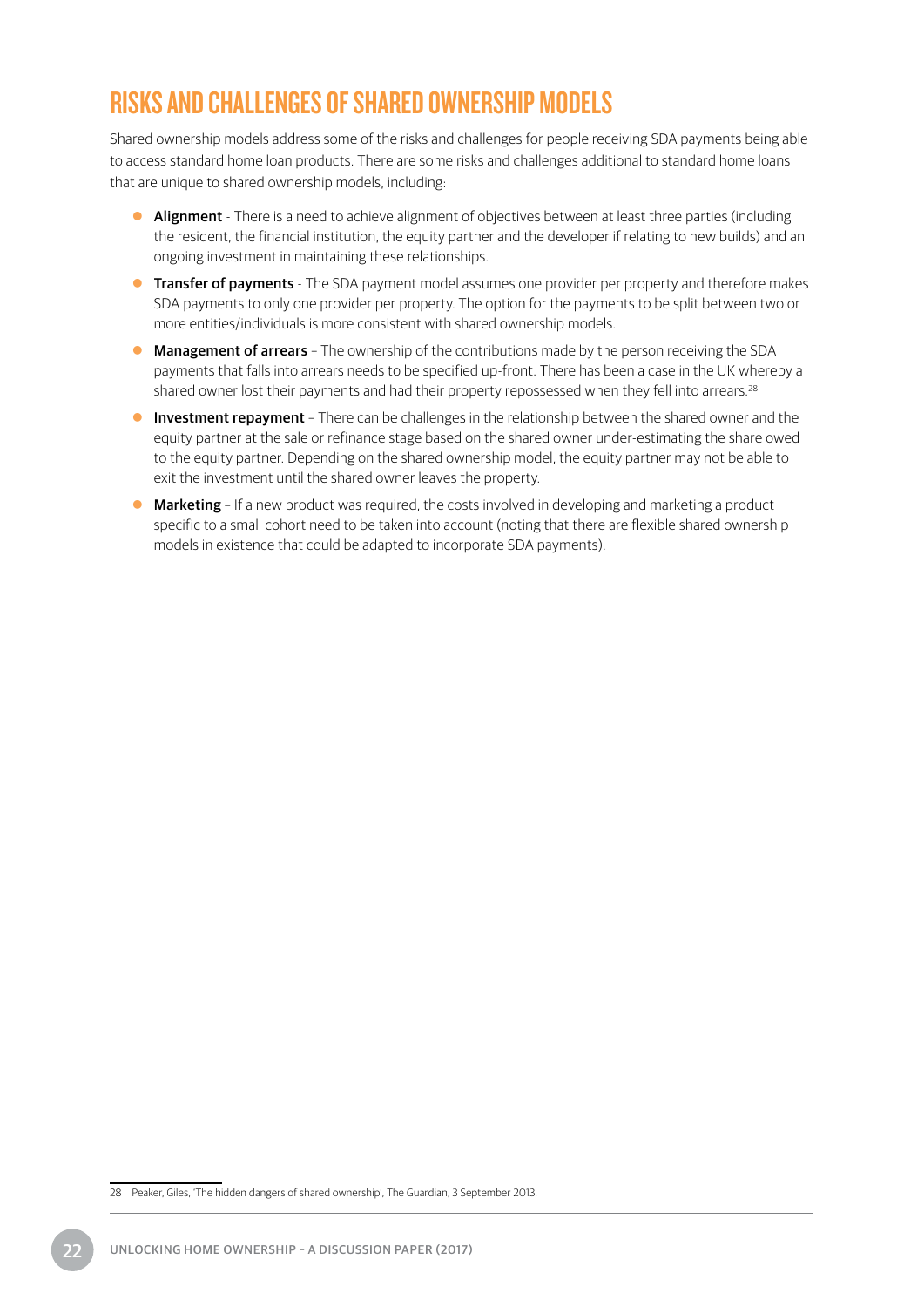## <span id="page-25-0"></span>RISKS AND CHALLENGES OF SHARED OWNERSHIP MODELS

Shared ownership models address some of the risks and challenges for people receiving SDA payments being able to access standard home loan products. There are some risks and challenges additional to standard home loans that are unique to shared ownership models, including:

- Alignment There is a need to achieve alignment of objectives between at least three parties (including the resident, the financial institution, the equity partner and the developer if relating to new builds) and an ongoing investment in maintaining these relationships.
- **Transfer of payments** The SDA payment model assumes one provider per property and therefore makes SDA payments to only one provider per property. The option for the payments to be split between two or more entities/individuals is more consistent with shared ownership models.
- Management of arrears The ownership of the contributions made by the person receiving the SDA payments that falls into arrears needs to be specified up-front. There has been a case in the UK whereby a shared owner lost their payments and had their property repossessed when they fell into arrears.<sup>28</sup>
- **Investment repayment** There can be challenges in the relationship between the shared owner and the equity partner at the sale or refinance stage based on the shared owner under-estimating the share owed to the equity partner. Depending on the shared ownership model, the equity partner may not be able to exit the investment until the shared owner leaves the property.
- $\bullet$  Marketing If a new product was required, the costs involved in developing and marketing a product specific to a small cohort need to be taken into account (noting that there are flexible shared ownership models in existence that could be adapted to incorporate SDA payments).

<sup>28</sup> Peaker, Giles, 'The hidden dangers of shared ownership', The Guardian, 3 September 2013.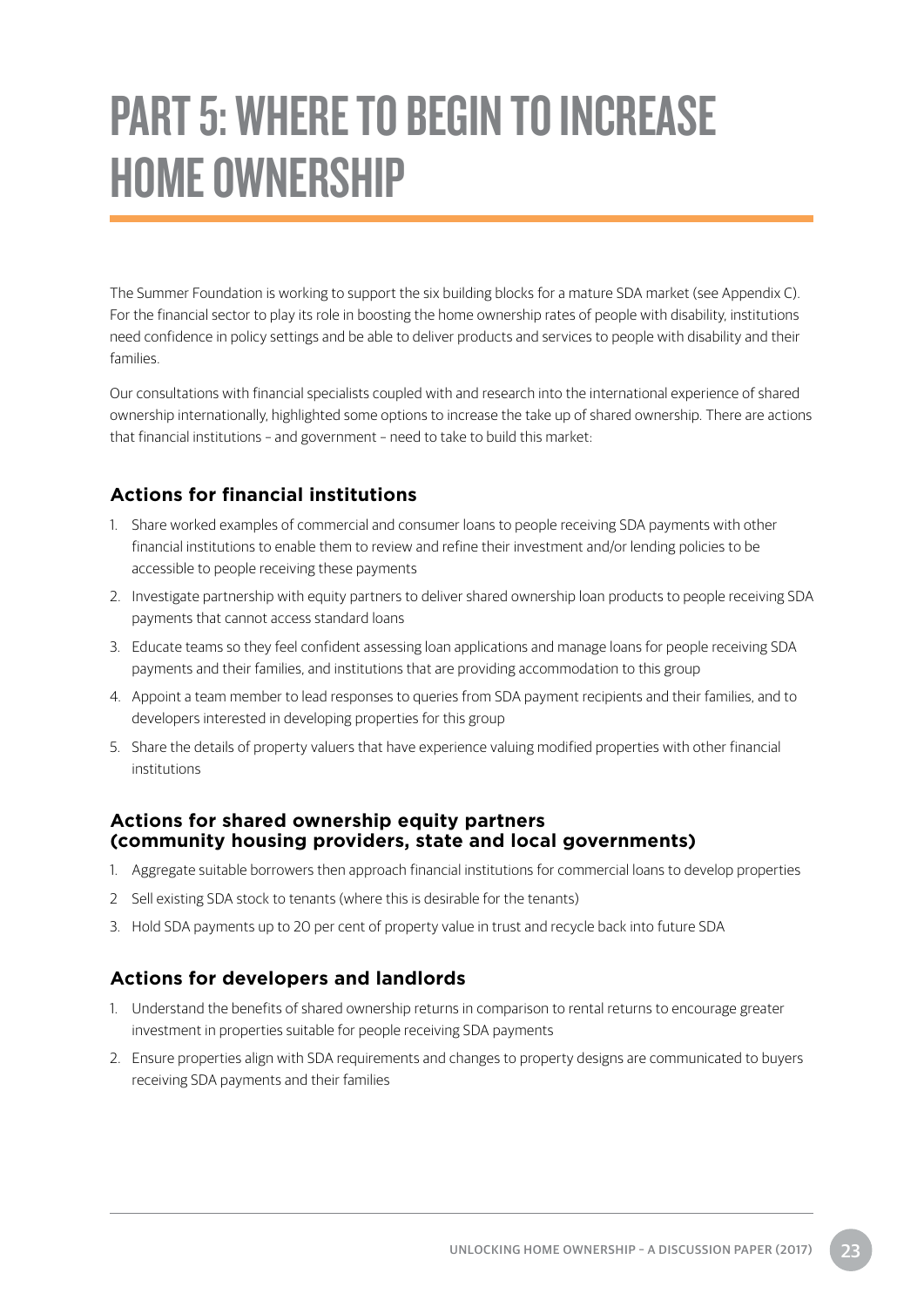## <span id="page-26-0"></span>PART 5: WHERE TO BEGIN TO INCREASE HOME OWNERSHIP

The Summer Foundation is working to support the six building blocks for a mature SDA market (see Appendix C). For the financial sector to play its role in boosting the home ownership rates of people with disability, institutions need confidence in policy settings and be able to deliver products and services to people with disability and their families.

Our consultations with financial specialists coupled with and research into the international experience of shared ownership internationally, highlighted some options to increase the take up of shared ownership. There are actions that financial institutions – and government – need to take to build this market:

#### **Actions for financial institutions**

- 1. Share worked examples of commercial and consumer loans to people receiving SDA payments with other financial institutions to enable them to review and refine their investment and/or lending policies to be accessible to people receiving these payments
- 2. Investigate partnership with equity partners to deliver shared ownership loan products to people receiving SDA payments that cannot access standard loans
- 3. Educate teams so they feel confident assessing loan applications and manage loans for people receiving SDA payments and their families, and institutions that are providing accommodation to this group
- 4. Appoint a team member to lead responses to queries from SDA payment recipients and their families, and to developers interested in developing properties for this group
- 5. Share the details of property valuers that have experience valuing modified properties with other financial institutions

#### **Actions for shared ownership equity partners (community housing providers, state and local governments)**

- 1. Aggregate suitable borrowers then approach financial institutions for commercial loans to develop properties
- 2 Sell existing SDA stock to tenants (where this is desirable for the tenants)
- 3. Hold SDA payments up to 20 per cent of property value in trust and recycle back into future SDA

#### **Actions for developers and landlords**

- 1. Understand the benefits of shared ownership returns in comparison to rental returns to encourage greater investment in properties suitable for people receiving SDA payments
- 2. Ensure properties align with SDA requirements and changes to property designs are communicated to buyers receiving SDA payments and their families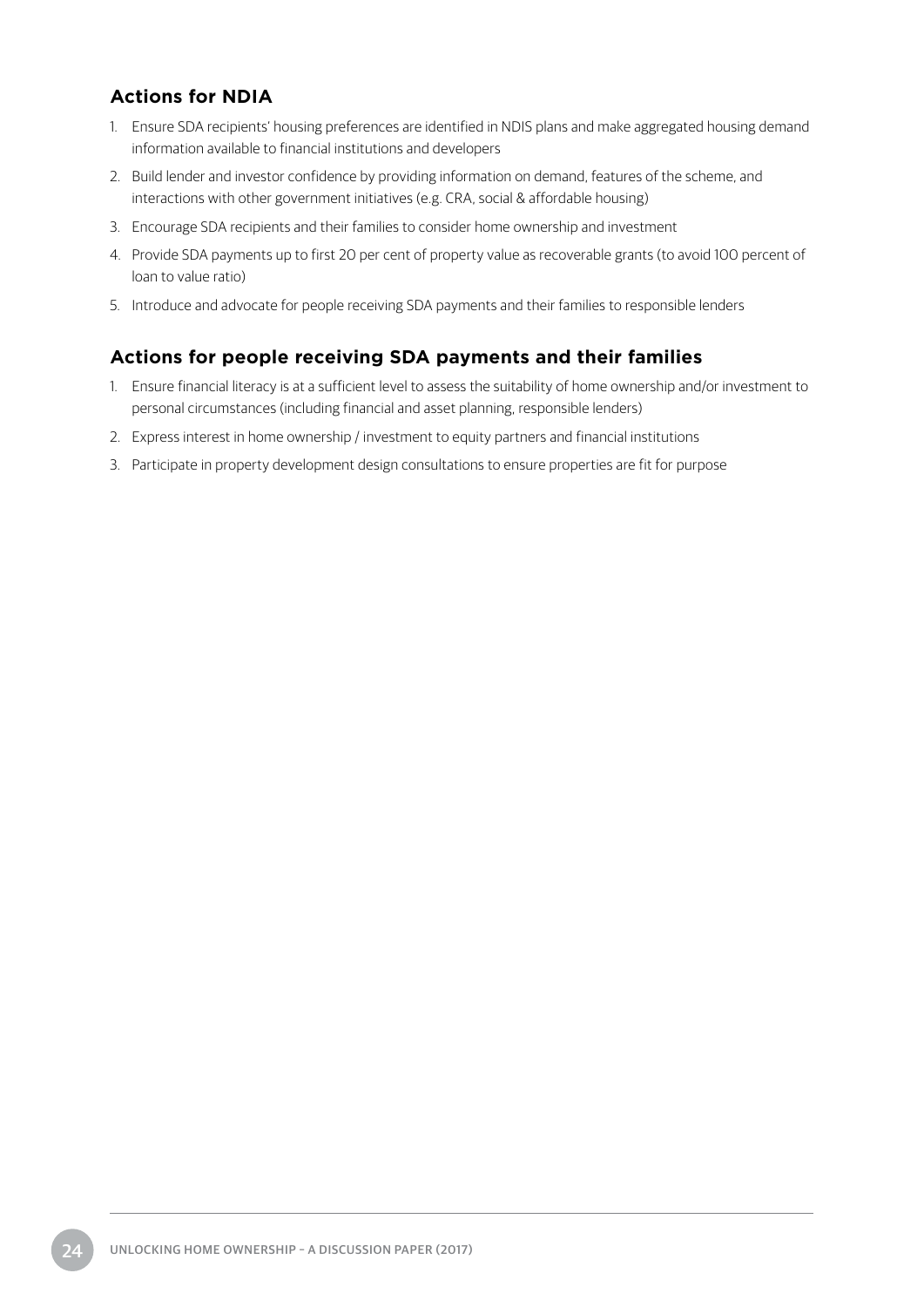#### **Actions for NDIA**

- 1. Ensure SDA recipients' housing preferences are identified in NDIS plans and make aggregated housing demand information available to financial institutions and developers
- 2. Build lender and investor confidence by providing information on demand, features of the scheme, and interactions with other government initiatives (e.g. CRA, social & affordable housing)
- 3. Encourage SDA recipients and their families to consider home ownership and investment
- 4. Provide SDA payments up to first 20 per cent of property value as recoverable grants (to avoid 100 percent of loan to value ratio)
- 5. Introduce and advocate for people receiving SDA payments and their families to responsible lenders

#### **Actions for people receiving SDA payments and their families**

- 1. Ensure financial literacy is at a sufficient level to assess the suitability of home ownership and/or investment to personal circumstances (including financial and asset planning, responsible lenders)
- 2. Express interest in home ownership / investment to equity partners and financial institutions
- 3. Participate in property development design consultations to ensure properties are fit for purpose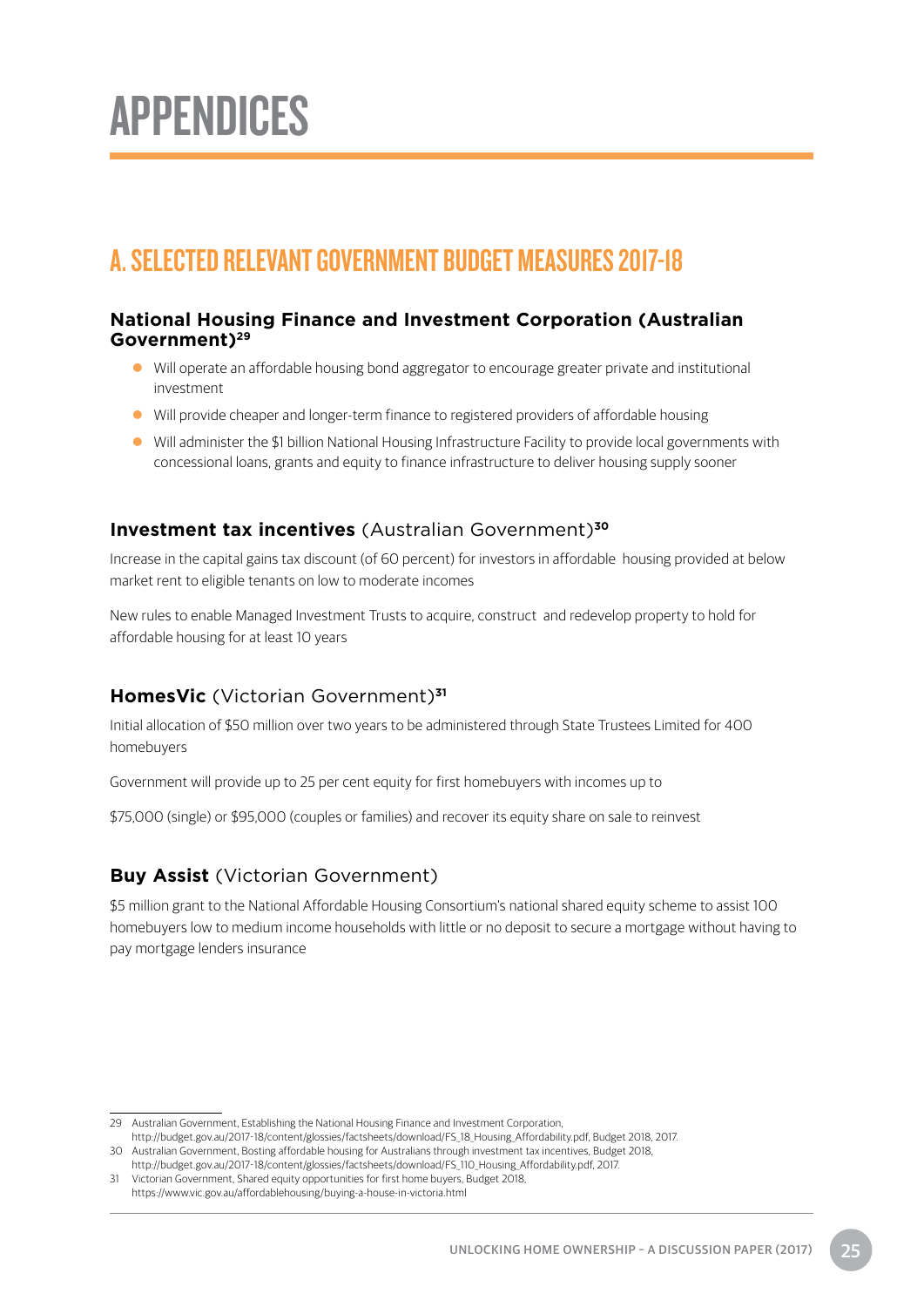# <span id="page-28-0"></span>APPENDICES

## A. SELECTED RELEVANT GOVERNMENT BUDGET MEASURES 2017-18

#### **National Housing Finance and Investment Corporation (Australian Government)29**

- Will operate an affordable housing bond aggregator to encourage greater private and institutional investment
- Will provide cheaper and longer-term finance to registered providers of affordable housing
- Will administer the \$1 billion National Housing Infrastructure Facility to provide local governments with concessional loans, grants and equity to finance infrastructure to deliver housing supply sooner

#### **Investment tax incentives** (Australian Government)**<sup>30</sup>**

Increase in the capital gains tax discount (of 60 percent) for investors in affordable housing provided at below market rent to eligible tenants on low to moderate incomes

New rules to enable Managed Investment Trusts to acquire, construct and redevelop property to hold for affordable housing for at least 10 years

#### **HomesVic** (Victorian Government)**<sup>31</sup>**

Initial allocation of \$50 million over two years to be administered through State Trustees Limited for 400 homebuyers

Government will provide up to 25 per cent equity for first homebuyers with incomes up to

\$75,000 (single) or \$95,000 (couples or families) and recover its equity share on sale to reinvest

#### **Buy Assist** (Victorian Government)

\$5 million grant to the National Affordable Housing Consortium's national shared equity scheme to assist 100 homebuyers low to medium income households with little or no deposit to secure a mortgage without having to pay mortgage lenders insurance

<sup>29</sup> Australian Government, Establishing the National Housing Finance and Investment Corporation,

http://budget.gov.au/2017-18/content/glossies/factsheets/download/FS\_18\_Housing\_Affordability.pdf, Budget 2018, 2017. 30 Australian Government, Bosting affordable housing for Australians through investment tax incentives, Budget 2018,

http://budget.gov.au/2017-18/content/glossies/factsheets/download/FS\_110\_Housing\_Affordability.pdf, 2017.

<sup>31</sup> Victorian Government, Shared equity opportunities for first home buyers, Budget 2018, https://www.vic.gov.au/affordablehousing/buying-a-house-in-victoria.html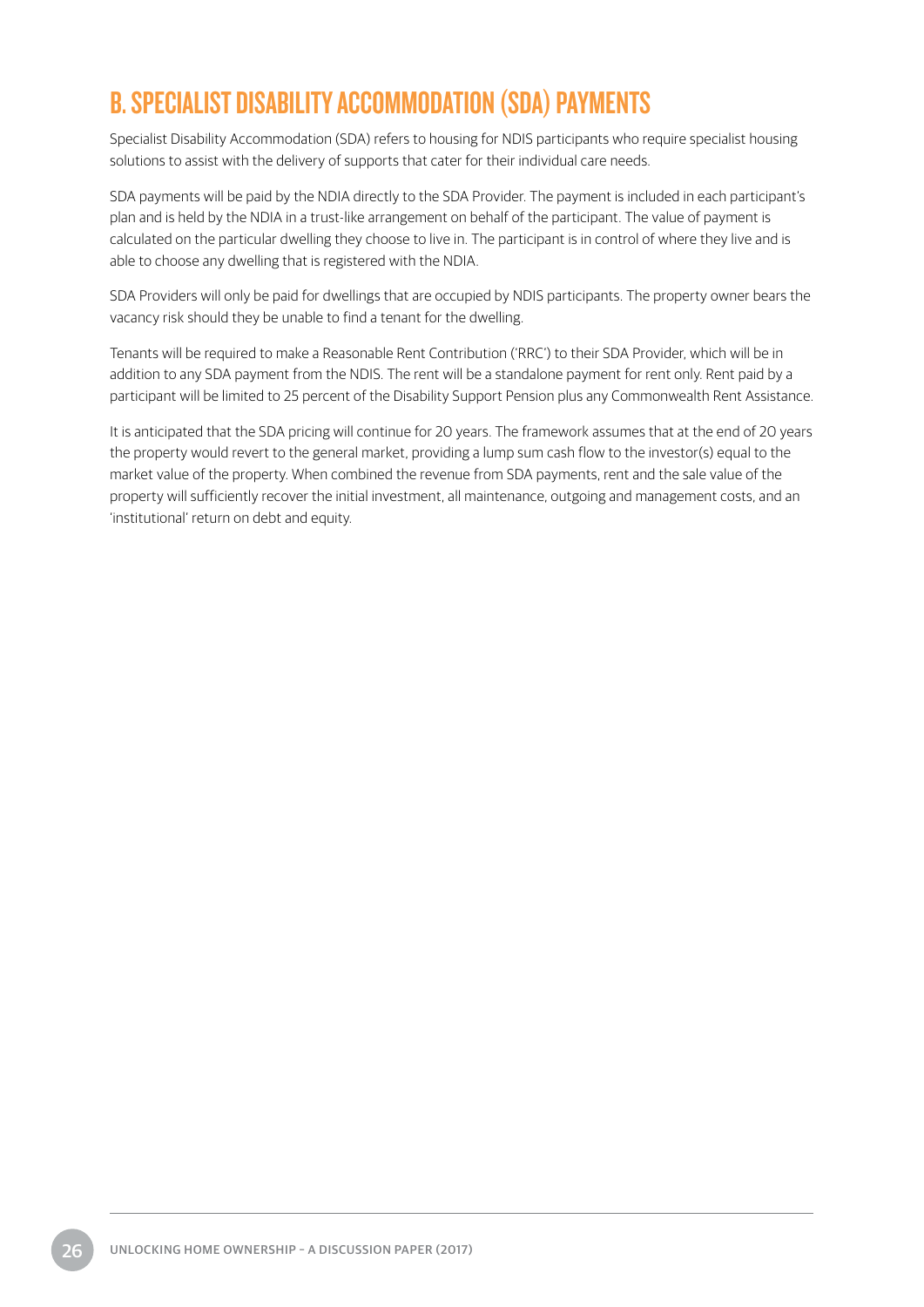## <span id="page-29-0"></span>B. SPECIALIST DISABILITY ACCOMMODATION (SDA) PAYMENTS

Specialist Disability Accommodation (SDA) refers to housing for NDIS participants who require specialist housing solutions to assist with the delivery of supports that cater for their individual care needs.

SDA payments will be paid by the NDIA directly to the SDA Provider. The payment is included in each participant's plan and is held by the NDIA in a trust-like arrangement on behalf of the participant. The value of payment is calculated on the particular dwelling they choose to live in. The participant is in control of where they live and is able to choose any dwelling that is registered with the NDIA.

SDA Providers will only be paid for dwellings that are occupied by NDIS participants. The property owner bears the vacancy risk should they be unable to find a tenant for the dwelling.

Tenants will be required to make a Reasonable Rent Contribution ('RRC') to their SDA Provider, which will be in addition to any SDA payment from the NDIS. The rent will be a standalone payment for rent only. Rent paid by a participant will be limited to 25 percent of the Disability Support Pension plus any Commonwealth Rent Assistance.

It is anticipated that the SDA pricing will continue for 20 years. The framework assumes that at the end of 20 years the property would revert to the general market, providing a lump sum cash flow to the investor(s) equal to the market value of the property. When combined the revenue from SDA payments, rent and the sale value of the property will sufficiently recover the initial investment, all maintenance, outgoing and management costs, and an 'institutional' return on debt and equity.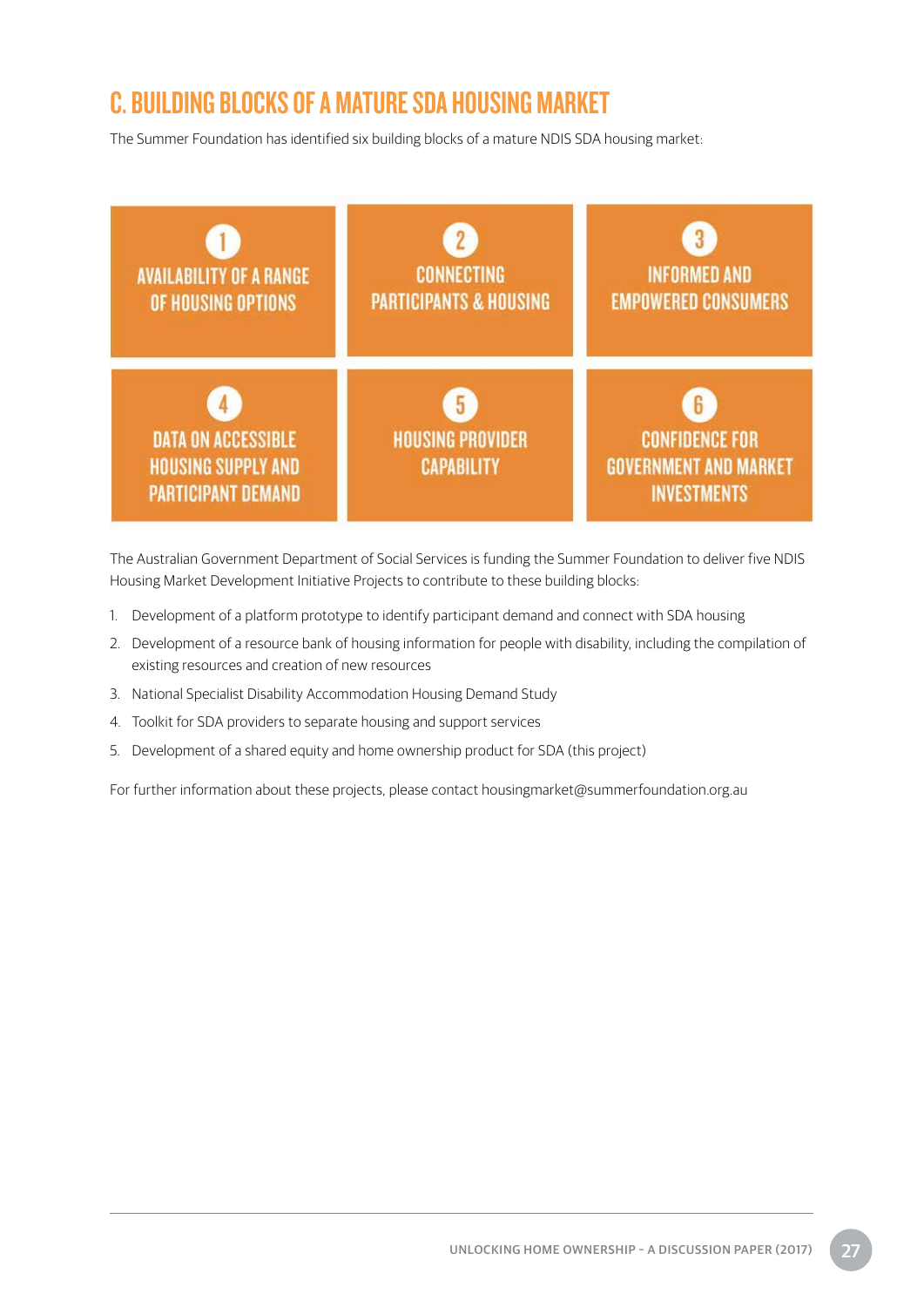## <span id="page-30-0"></span>C. BUILDING BLOCKS OF A MATURE SDA HOUSING MARKET

The Summer Foundation has identified six building blocks of a mature NDIS SDA housing market:



The Australian Government Department of Social Services is funding the Summer Foundation to deliver five NDIS Housing Market Development Initiative Projects to contribute to these building blocks:

- 1. Development of a platform prototype to identify participant demand and connect with SDA housing
- 2. Development of a resource bank of housing information for people with disability, including the compilation of existing resources and creation of new resources
- 3. National Specialist Disability Accommodation Housing Demand Study
- 4. Toolkit for SDA providers to separate housing and support services
- 5. Development of a shared equity and home ownership product for SDA (this project)

For further information about these projects, please contact housingmarket@summerfoundation.org.au